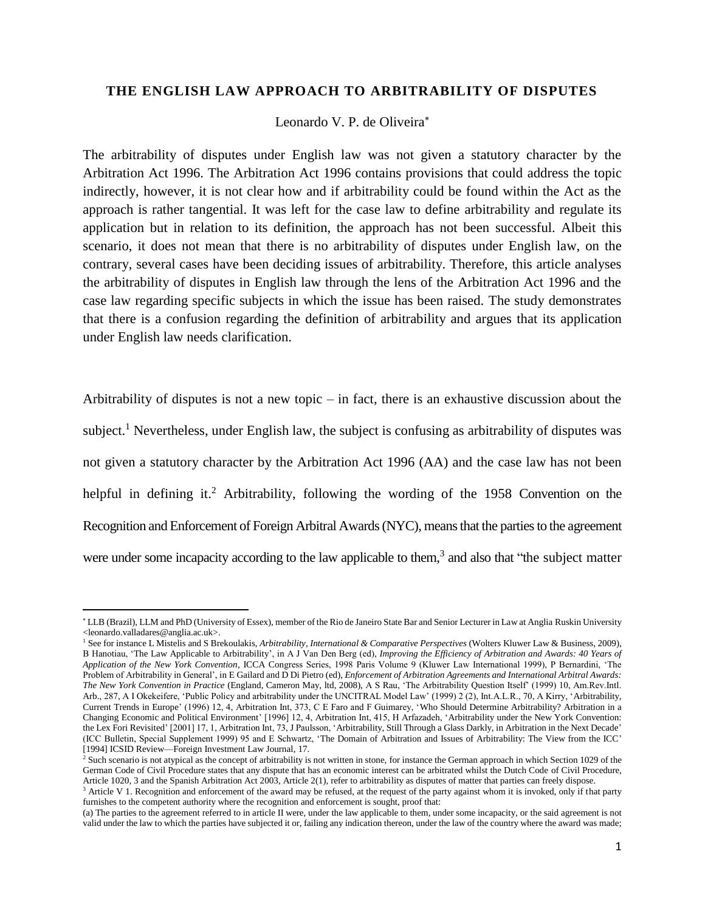## **THE ENGLISH LAW APPROACH TO ARBITRABILITY OF DISPUTES**

Leonardo V. P. de Oliveira

The arbitrability of disputes under English law was not given a statutory character by the Arbitration Act 1996. The Arbitration Act 1996 contains provisions that could address the topic indirectly, however, it is not clear how and if arbitrability could be found within the Act as the approach is rather tangential. It was left for the case law to define arbitrability and regulate its application but in relation to its definition, the approach has not been successful. Albeit this scenario, it does not mean that there is no arbitrability of disputes under English law, on the contrary, several cases have been deciding issues of arbitrability. Therefore, this article analyses the arbitrability of disputes in English law through the lens of the Arbitration Act 1996 and the case law regarding specific subjects in which the issue has been raised. The study demonstrates that there is a confusion regarding the definition of arbitrability and argues that its application under English law needs clarification.

Arbitrability of disputes is not a new topic – in fact, there is an exhaustive discussion about the subject.<sup>1</sup> Nevertheless, under English law, the subject is confusing as arbitrability of disputes was not given a statutory character by the Arbitration Act 1996 (AA) and the case law has not been helpful in defining it.<sup>2</sup> Arbitrability, following the wording of the 1958 Convention on the Recognition and Enforcement of Foreign Arbitral Awards (NYC), means that the parties to the agreement were under some incapacity according to the law applicable to them,<sup>3</sup> and also that "the subject matter

l

LLB (Brazil), LLM and PhD (University of Essex), member of the Rio de Janeiro State Bar and Senior Lecturer in Law at Anglia Ruskin University <leonardo.valladares@anglia.ac.uk>.

<sup>&</sup>lt;sup>1</sup> See for instance L Mistelis and S Brekoulakis, *Arbitrability, International & Comparative Perspectives* (Wolters Kluwer Law & Business, 2009), B Hanotiau, 'The Law Applicable to Arbitrability', in A J Van Den Berg (ed), *Improving the Efficiency of Arbitration and Awards: 40 Years of Application of the New York Convention*, ICCA Congress Series, 1998 Paris Volume 9 (Kluwer Law International 1999), P Bernardini, 'The Problem of Arbitrability in General', in E Gailard and D Di Pietro (ed), *Enforcement of Arbitration Agreements and International Arbitral Awards: The New York Convention in Practice* (England, Cameron May, ltd, 2008), A S Rau, 'The Arbitrability Question Itself' (1999) 10, Am.Rev.Intl. Arb., 287, A I Okekeifere, 'Public Policy and arbitrability under the UNCITRAL Model Law' (1999) 2 (2), Int.A.L.R., 70, A Kirry, 'Arbitrability, Current Trends in Europe' (1996) 12, 4, Arbitration Int, 373, C E Faro and F Guimarey, 'Who Should Determine Arbitrability? Arbitration in a Changing Economic and Political Environment' [1996] 12, 4, Arbitration Int, 415, H Arfazadeh, 'Arbitrability under the New York Convention: the Lex Fori Revisited' [2001] 17, 1, Arbitration Int, 73, J Paulsson, 'Arbitrability, Still Through a Glass Darkly, in Arbitration in the Next Decade' (ICC Bulletin, Special Supplement 1999) 95 and E Schwartz, 'The Domain of Arbitration and Issues of Arbitrability: The View from the ICC' [1994] ICSID Review—Foreign Investment Law Journal, 17.

<sup>&</sup>lt;sup>2</sup> Such scenario is not atypical as the concept of arbitrability is not written in stone, for instance the German approach in which Section 1029 of the German Code of Civil Procedure states that any dispute that has an economic interest can be arbitrated whilst the Dutch Code of Civil Procedure, Article 1020, 3 and the Spanish Arbitration Act 2003, Article 2(1), refer to arbitrability as disputes of matter that parties can freely dispose.

<sup>&</sup>lt;sup>3</sup> Article V 1. Recognition and enforcement of the award may be refused, at the request of the party against whom it is invoked, only if that party furnishes to the competent authority where the recognition and enforcement is sought, proof that:

<sup>(</sup>a) The parties to the agreement referred to in article II were, under the law applicable to them, under some incapacity, or the said agreement is not valid under the law to which the parties have subjected it or, failing any indication thereon, under the law of the country where the award was made;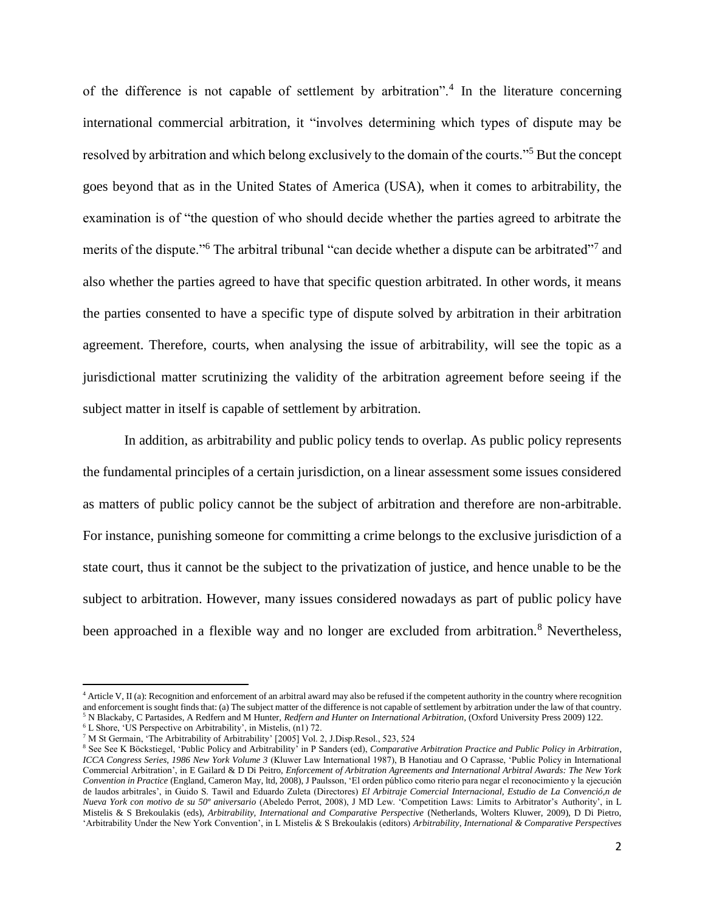of the difference is not capable of settlement by arbitration".<sup>4</sup> In the literature concerning international commercial arbitration, it "involves determining which types of dispute may be resolved by arbitration and which belong exclusively to the domain of the courts."<sup>5</sup> But the concept goes beyond that as in the United States of America (USA), when it comes to arbitrability, the examination is of "the question of who should decide whether the parties agreed to arbitrate the merits of the dispute."<sup>6</sup> The arbitral tribunal "can decide whether a dispute can be arbitrated"<sup>7</sup> and also whether the parties agreed to have that specific question arbitrated. In other words, it means the parties consented to have a specific type of dispute solved by arbitration in their arbitration agreement. Therefore, courts, when analysing the issue of arbitrability, will see the topic as a jurisdictional matter scrutinizing the validity of the arbitration agreement before seeing if the subject matter in itself is capable of settlement by arbitration.

In addition, as arbitrability and public policy tends to overlap. As public policy represents the fundamental principles of a certain jurisdiction, on a linear assessment some issues considered as matters of public policy cannot be the subject of arbitration and therefore are non-arbitrable. For instance, punishing someone for committing a crime belongs to the exclusive jurisdiction of a state court, thus it cannot be the subject to the privatization of justice, and hence unable to be the subject to arbitration. However, many issues considered nowadays as part of public policy have been approached in a flexible way and no longer are excluded from arbitration.<sup>8</sup> Nevertheless,

<sup>4</sup> Article V, II (a): Recognition and enforcement of an arbitral award may also be refused if the competent authority in the country where recognition and enforcement is sought finds that: (a) The subject matter of the difference is not capable of settlement by arbitration under the law of that country. <sup>5</sup> N Blackaby, C Partasides, A Redfern and M Hunter, *Redfern and Hunter on International Arbitration*, (Oxford University Press 2009) 122.

<sup>6</sup> L Shore, 'US Perspective on Arbitrability', in Mistelis, (n1) 72.

<sup>7</sup> M St Germain, 'The Arbitrability of Arbitrability' [2005] Vol. 2, J.Disp.Resol., 523, 524

<sup>8</sup> See See K Böckstiegel, 'Public Policy and Arbitrability' in P Sanders (ed), *Comparative Arbitration Practice and Public Policy in Arbitration*, *ICCA Congress Series, 1986 New York Volume 3* (Kluwer Law International 1987), B Hanotiau and O Caprasse, 'Public Policy in International Commercial Arbitration', in E Gailard & D Di Peitro, *Enforcement of Arbitration Agreements and International Arbitral Awards: The New York Convention in Practice* (England, Cameron May, ltd, 2008), J Paulsson, 'El orden público como riterio para negar el reconocimiento y la ejecución de laudos arbitrales', in Guido S. Tawil and Eduardo Zuleta (Directores) *El Arbitraje Comercial Internacional, Estudio de La Convenció,n de Nueva York con motivo de su 50º aniversario* (Abeledo Perrot, 2008), J MD Lew. 'Competition Laws: Limits to Arbitrator's Authority', in L Mistelis & S Brekoulakis (eds), *Arbitrability, International and Comparative Perspective* (Netherlands, Wolters Kluwer, 2009), D Di Pietro, 'Arbitrability Under the New York Convention', in L Mistelis & S Brekoulakis (editors) *Arbitrability, International & Comparative Perspectives*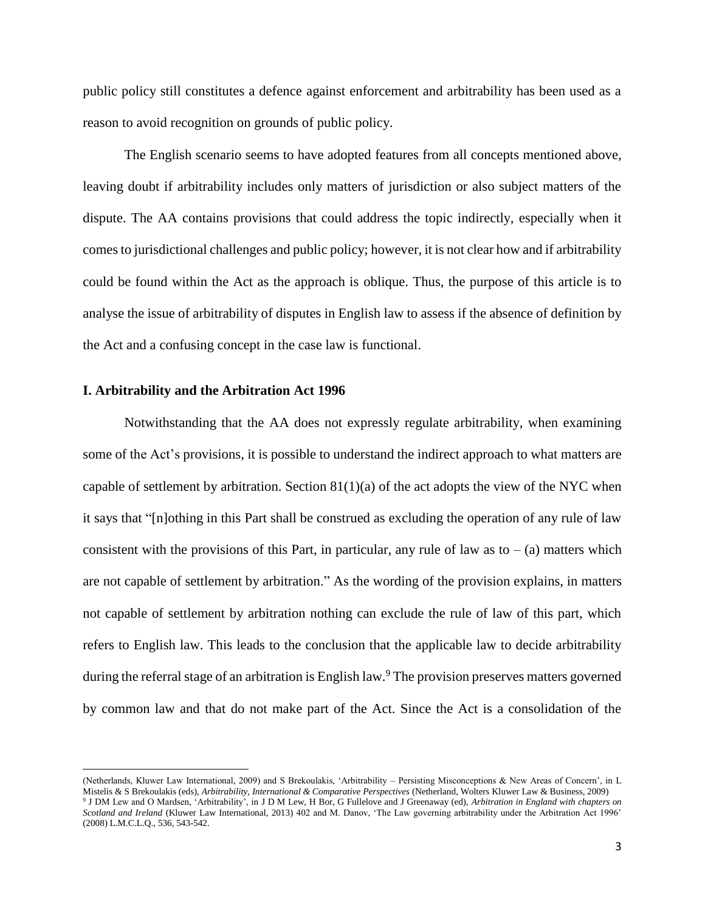public policy still constitutes a defence against enforcement and arbitrability has been used as a reason to avoid recognition on grounds of public policy.

The English scenario seems to have adopted features from all concepts mentioned above, leaving doubt if arbitrability includes only matters of jurisdiction or also subject matters of the dispute. The AA contains provisions that could address the topic indirectly, especially when it comes to jurisdictional challenges and public policy; however, it is not clear how and if arbitrability could be found within the Act as the approach is oblique. Thus, the purpose of this article is to analyse the issue of arbitrability of disputes in English law to assess if the absence of definition by the Act and a confusing concept in the case law is functional.

#### **I. Arbitrability and the Arbitration Act 1996**

 $\overline{a}$ 

Notwithstanding that the AA does not expressly regulate arbitrability, when examining some of the Act's provisions, it is possible to understand the indirect approach to what matters are capable of settlement by arbitration. Section  $81(1)(a)$  of the act adopts the view of the NYC when it says that "[n]othing in this Part shall be construed as excluding the operation of any rule of law consistent with the provisions of this Part, in particular, any rule of law as to  $-$  (a) matters which are not capable of settlement by arbitration." As the wording of the provision explains, in matters not capable of settlement by arbitration nothing can exclude the rule of law of this part, which refers to English law. This leads to the conclusion that the applicable law to decide arbitrability during the referral stage of an arbitration is English law.<sup>9</sup> The provision preserves matters governed by common law and that do not make part of the Act. Since the Act is a consolidation of the

<sup>(</sup>Netherlands, Kluwer Law International, 2009) and S Brekoulakis, 'Arbitrability – Persisting Misconceptions & New Areas of Concern', in L Mistelis & S Brekoulakis (eds), *Arbitrability, International & Comparative Perspectives* (Netherland, Wolters Kluwer Law & Business, 2009)

<sup>9</sup> J DM Lew and O Mardsen, 'Arbitrability', in J D M Lew, H Bor, G Fullelove and J Greenaway (ed), *Arbitration in England with chapters on Scotland and Ireland* (Kluwer Law International, 2013) 402 and M. Danov, 'The Law governing arbitrability under the Arbitration Act 1996' (2008) L.M.C.L.Q., 536, 543-542.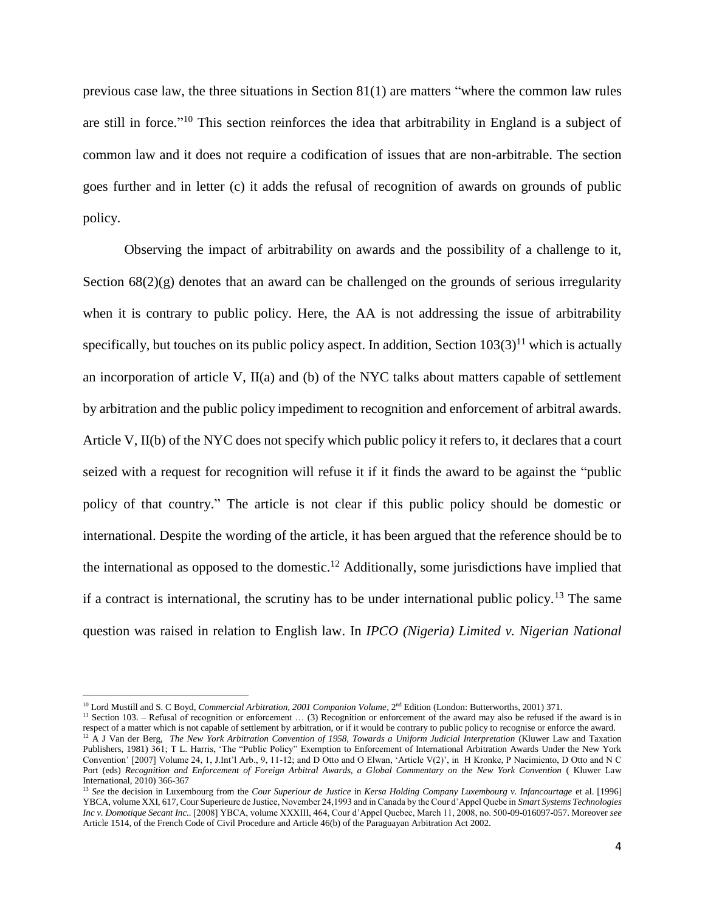previous case law, the three situations in Section 81(1) are matters "where the common law rules are still in force."<sup>10</sup> This section reinforces the idea that arbitrability in England is a subject of common law and it does not require a codification of issues that are non-arbitrable. The section goes further and in letter (c) it adds the refusal of recognition of awards on grounds of public policy.

Observing the impact of arbitrability on awards and the possibility of a challenge to it, Section  $68(2)(g)$  denotes that an award can be challenged on the grounds of serious irregularity when it is contrary to public policy. Here, the AA is not addressing the issue of arbitrability specifically, but touches on its public policy aspect. In addition, Section  $103(3)^{11}$  which is actually an incorporation of article V, II(a) and (b) of the NYC talks about matters capable of settlement by arbitration and the public policy impediment to recognition and enforcement of arbitral awards. Article V, II(b) of the NYC does not specify which public policy it refers to, it declares that a court seized with a request for recognition will refuse it if it finds the award to be against the "public policy of that country." The article is not clear if this public policy should be domestic or international. Despite the wording of the article, it has been argued that the reference should be to the international as opposed to the domestic.<sup>12</sup> Additionally, some jurisdictions have implied that if a contract is international, the scrutiny has to be under international public policy.<sup>13</sup> The same question was raised in relation to English law. In *IPCO (Nigeria) Limited v. Nigerian National* 

<sup>&</sup>lt;sup>10</sup> Lord Mustill and S. C Boyd, *Commercial Arbitration, 2001 Companion Volume*, 2<sup>nd</sup> Edition (London: Butterworths, 2001) 371.

<sup>&</sup>lt;sup>11</sup> Section 103. – Refusal of recognition or enforcement ... (3) Recognition or enforcement of the award may also be refused if the award is in respect of a matter which is not capable of settlement by arbitration, or if it would be contrary to public policy to recognise or enforce the award. <sup>12</sup> A J Van der Berg, *The New York Arbitration Convention of 1958, Towards a Uniform Judicial Interpretation (Kluwer Law and Taxation* 

Publishers, 1981) 361; T L. Harris, 'The "Public Policy" Exemption to Enforcement of International Arbitration Awards Under the New York Convention' [2007] Volume 24, 1, J.Int'l Arb., 9, 11-12; and D Otto and O Elwan, 'Article V(2)', in H Kronke, P Nacimiento, D Otto and N C Port (eds) *Recognition and Enforcement of Foreign Arbitral Awards, a Global Commentary on the New York Convention* ( Kluwer Law International, 2010) 366-367

<sup>13</sup> *See* the decision in Luxembourg from the *Cour Superiour de Justice* in *Kersa Holding Company Luxembourg v. Infancourtage* et al. [1996] YBCA, volume XXI, 617, Cour Superieure de Justice, November 24,1993 and in Canada by the Cour d'Appel Quebe in *Smart Systems Technologies Inc v. Domotique Secant Inc..* [2008] YBCA, volume XXXIII, 464, Cour d'Appel Quebec, March 11, 2008, no. 500-09-016097-057. Moreover *see* Article 1514, of the French Code of Civil Procedure and Article 46(b) of the Paraguayan Arbitration Act 2002.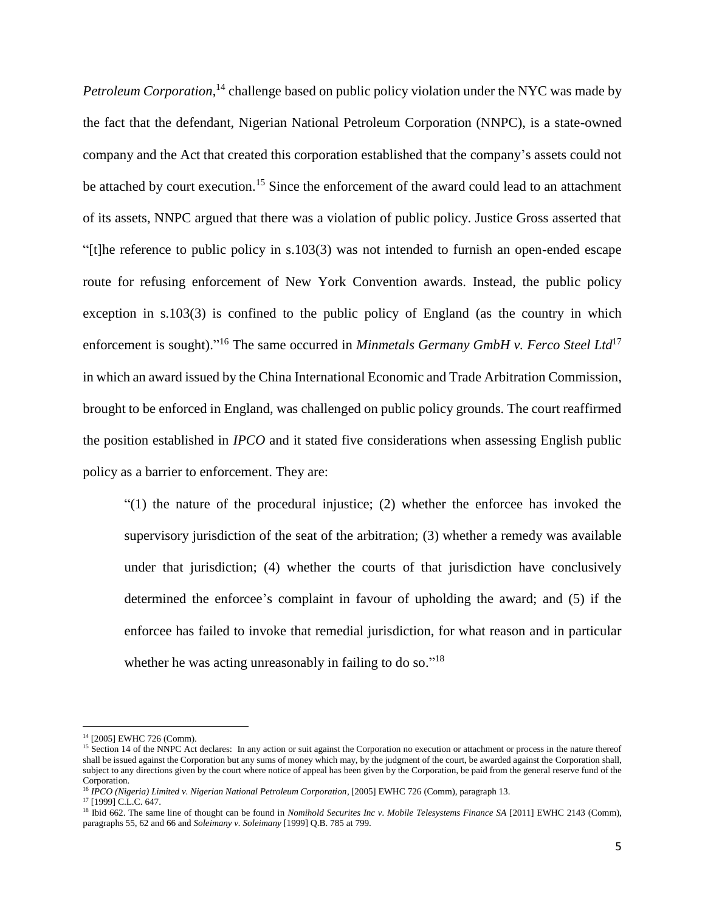Petroleum Corporation,<sup>14</sup> challenge based on public policy violation under the NYC was made by the fact that the defendant, Nigerian National Petroleum Corporation (NNPC), is a state-owned company and the Act that created this corporation established that the company's assets could not be attached by court execution.<sup>15</sup> Since the enforcement of the award could lead to an attachment of its assets, NNPC argued that there was a violation of public policy. Justice Gross asserted that "[t]he reference to public policy in s.103(3) was not intended to furnish an open-ended escape route for refusing enforcement of New York Convention awards. Instead, the public policy exception in s.103(3) is confined to the public policy of England (as the country in which enforcement is sought)." <sup>16</sup> The same occurred in *Minmetals Germany GmbH v. Ferco Steel Ltd*<sup>17</sup> in which an award issued by the China International Economic and Trade Arbitration Commission, brought to be enforced in England, was challenged on public policy grounds. The court reaffirmed the position established in *IPCO* and it stated five considerations when assessing English public policy as a barrier to enforcement. They are:

"(1) the nature of the procedural injustice; (2) whether the enforcee has invoked the supervisory jurisdiction of the seat of the arbitration; (3) whether a remedy was available under that jurisdiction; (4) whether the courts of that jurisdiction have conclusively determined the enforcee's complaint in favour of upholding the award; and (5) if the enforcee has failed to invoke that remedial jurisdiction, for what reason and in particular whether he was acting unreasonably in failing to do so."<sup>18</sup>

<sup>14</sup> [2005] EWHC 726 (Comm).

<sup>&</sup>lt;sup>15</sup> Section 14 of the NNPC Act declares: In any action or suit against the Corporation no execution or attachment or process in the nature thereof shall be issued against the Corporation but any sums of money which may, by the judgment of the court, be awarded against the Corporation shall, subject to any directions given by the court where notice of appeal has been given by the Corporation, be paid from the general reserve fund of the Corporation.

<sup>16</sup> *IPCO (Nigeria) Limited v. Nigerian National Petroleum Corporation*, [2005] EWHC 726 (Comm), paragraph 13.

<sup>&</sup>lt;sup>17</sup> [1999] C.L.C. 647.

<sup>&</sup>lt;sup>18</sup> Ibid 662. The same line of thought can be found in *Nomihold Securites Inc v. Mobile Telesystems Finance SA* [2011] EWHC 2143 (Comm), paragraphs 55, 62 and 66 and *Soleimany v. Soleimany* [1999] Q.B. 785 at 799.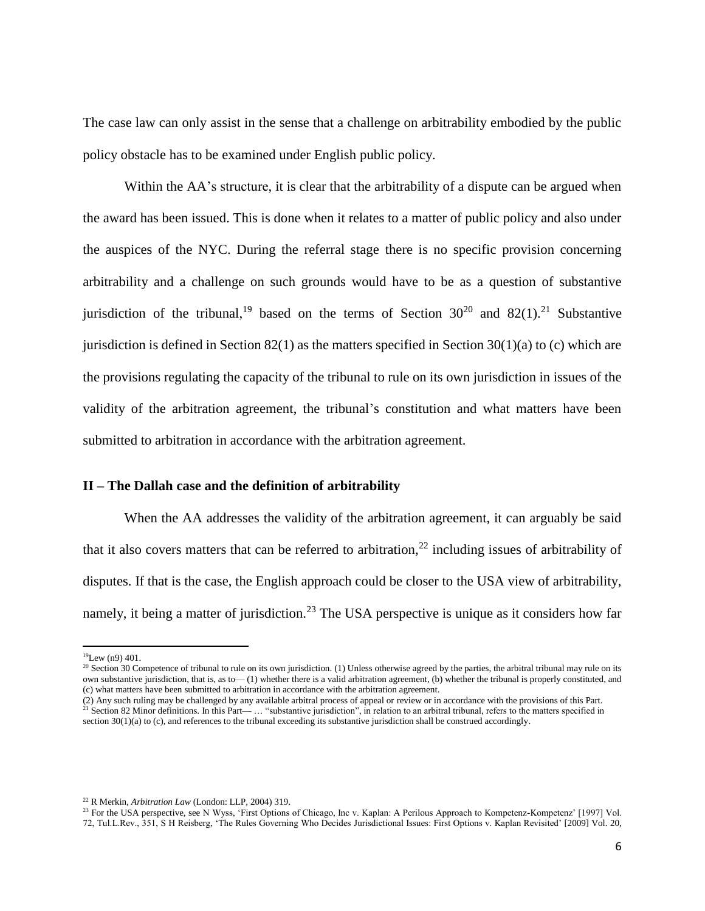The case law can only assist in the sense that a challenge on arbitrability embodied by the public policy obstacle has to be examined under English public policy.

Within the AA's structure, it is clear that the arbitrability of a dispute can be argued when the award has been issued. This is done when it relates to a matter of public policy and also under the auspices of the NYC. During the referral stage there is no specific provision concerning arbitrability and a challenge on such grounds would have to be as a question of substantive jurisdiction of the tribunal,<sup>19</sup> based on the terms of Section  $30^{20}$  and  $82(1).^{21}$  Substantive jurisdiction is defined in Section  $82(1)$  as the matters specified in Section  $30(1)(a)$  to (c) which are the provisions regulating the capacity of the tribunal to rule on its own jurisdiction in issues of the validity of the arbitration agreement, the tribunal's constitution and what matters have been submitted to arbitration in accordance with the arbitration agreement.

### **II – The Dallah case and the definition of arbitrability**

When the AA addresses the validity of the arbitration agreement, it can arguably be said that it also covers matters that can be referred to arbitration,  $2<sup>2</sup>$  including issues of arbitrability of disputes. If that is the case, the English approach could be closer to the USA view of arbitrability, namely, it being a matter of jurisdiction.<sup>23</sup> The USA perspective is unique as it considers how far

 $19$ Lew (n9) 401.

<sup>&</sup>lt;sup>20</sup> Section 30 Competence of tribunal to rule on its own jurisdiction. (1) Unless otherwise agreed by the parties, the arbitral tribunal may rule on its own substantive jurisdiction, that is, as to— (1) whether there is a valid arbitration agreement, (b) whether the tribunal is properly constituted, and (c) what matters have been submitted to arbitration in accordance with the arbitration agreement.

<sup>(2)</sup> Any such ruling may be challenged by any available arbitral process of appeal or review or in accordance with the provisions of this Part. <sup>21</sup> Section 82 Minor definitions. In this Part— ... "substantive jurisdiction", in relation to an arbitral tribunal, refers to the matters specified in section 30(1)(a) to (c), and references to the tribunal exceeding its substantive jurisdiction shall be construed accordingly.

<sup>22</sup> R Merkin, *Arbitration Law* (London: LLP, 2004) 319.

<sup>&</sup>lt;sup>23</sup> For the USA perspective, see N Wyss, 'First Options of Chicago, Inc v. Kaplan: A Perilous Approach to Kompetenz-Kompetenz' [1997] Vol. 72, Tul.L.Rev., 351, S H Reisberg, 'The Rules Governing Who Decides Jurisdictional Issues: First Options v. Kaplan Revisited' [2009] Vol. 20,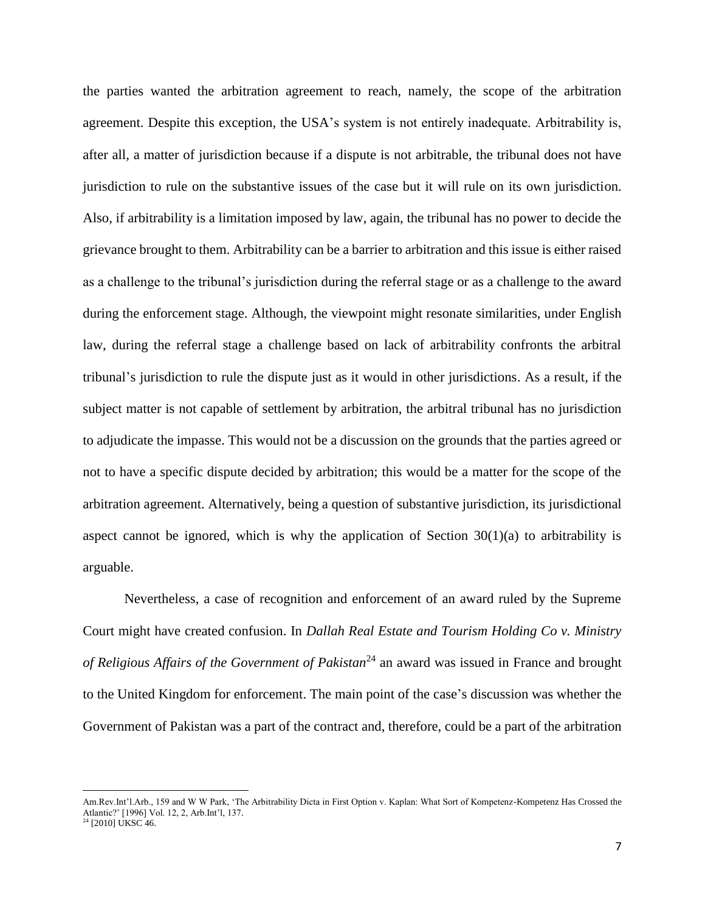the parties wanted the arbitration agreement to reach, namely, the scope of the arbitration agreement. Despite this exception, the USA's system is not entirely inadequate. Arbitrability is, after all, a matter of jurisdiction because if a dispute is not arbitrable, the tribunal does not have jurisdiction to rule on the substantive issues of the case but it will rule on its own jurisdiction. Also, if arbitrability is a limitation imposed by law, again, the tribunal has no power to decide the grievance brought to them. Arbitrability can be a barrier to arbitration and this issue is either raised as a challenge to the tribunal's jurisdiction during the referral stage or as a challenge to the award during the enforcement stage. Although, the viewpoint might resonate similarities, under English law, during the referral stage a challenge based on lack of arbitrability confronts the arbitral tribunal's jurisdiction to rule the dispute just as it would in other jurisdictions. As a result, if the subject matter is not capable of settlement by arbitration, the arbitral tribunal has no jurisdiction to adjudicate the impasse. This would not be a discussion on the grounds that the parties agreed or not to have a specific dispute decided by arbitration; this would be a matter for the scope of the arbitration agreement. Alternatively, being a question of substantive jurisdiction, its jurisdictional aspect cannot be ignored, which is why the application of Section  $30(1)(a)$  to arbitrability is arguable.

Nevertheless, a case of recognition and enforcement of an award ruled by the Supreme Court might have created confusion. In *Dallah Real Estate and Tourism Holding Co v. Ministry of Religious Affairs of the Government of Pakistan*<sup>24</sup> an award was issued in France and brought to the United Kingdom for enforcement. The main point of the case's discussion was whether the Government of Pakistan was a part of the contract and, therefore, could be a part of the arbitration

Am.Rev.Int'l.Arb., 159 and W W Park, 'The Arbitrability Dicta in First Option v. Kaplan: What Sort of Kompetenz-Kompetenz Has Crossed the Atlantic?' [1996] Vol. 12, 2, Arb.Int'l, 137.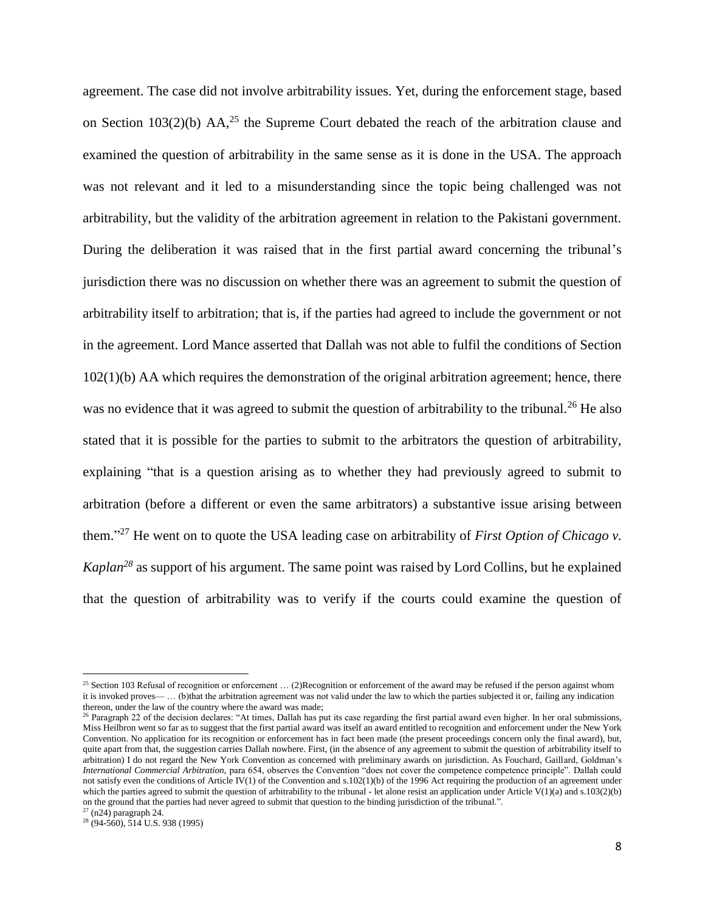agreement. The case did not involve arbitrability issues. Yet, during the enforcement stage, based on Section 103(2)(b)  $AA$ <sup>25</sup>, the Supreme Court debated the reach of the arbitration clause and examined the question of arbitrability in the same sense as it is done in the USA. The approach was not relevant and it led to a misunderstanding since the topic being challenged was not arbitrability, but the validity of the arbitration agreement in relation to the Pakistani government. During the deliberation it was raised that in the first partial award concerning the tribunal's jurisdiction there was no discussion on whether there was an agreement to submit the question of arbitrability itself to arbitration; that is, if the parties had agreed to include the government or not in the agreement. Lord Mance asserted that Dallah was not able to fulfil the conditions of Section 102(1)(b) AA which requires the demonstration of the original arbitration agreement; hence, there was no evidence that it was agreed to submit the question of arbitrability to the tribunal.<sup>26</sup> He also stated that it is possible for the parties to submit to the arbitrators the question of arbitrability, explaining "that is a question arising as to whether they had previously agreed to submit to arbitration (before a different or even the same arbitrators) a substantive issue arising between them." <sup>27</sup> He went on to quote the USA leading case on arbitrability of *First Option of Chicago v. Kaplan<sup>28</sup>* as support of his argument. The same point was raised by Lord Collins, but he explained that the question of arbitrability was to verify if the courts could examine the question of

<sup>&</sup>lt;sup>25</sup> Section 103 Refusal of recognition or enforcement  $\dots$  (2)Recognition or enforcement of the award may be refused if the person against whom it is invoked proves— … (b)that the arbitration agreement was not valid under the law to which the parties subjected it or, failing any indication thereon, under the law of the country where the award was made;

 $^{26}$  Paragraph 22 of the decision declares: "At times, Dallah has put its case regarding the first partial award even higher. In her oral submissions, Miss Heilbron went so far as to suggest that the first partial award was itself an award entitled to recognition and enforcement under the New York Convention. No application for its recognition or enforcement has in fact been made (the present proceedings concern only the final award), but, quite apart from that, the suggestion carries Dallah nowhere. First, (in the absence of any agreement to submit the question of arbitrability itself to arbitration) I do not regard the New York Convention as concerned with preliminary awards on jurisdiction. As Fouchard, Gaillard, Goldman's *International Commercial Arbitration*, para 654, observes the Convention "does not cover the competence competence principle". Dallah could not satisfy even the conditions of Article IV(1) of the Convention and s.102(1)(b) of the 1996 Act requiring the production of an agreement under which the parties agreed to submit the question of arbitrability to the tribunal - let alone resist an application under Article V(1)(a) and s.103(2)(b) on the ground that the parties had never agreed to submit that question to the binding jurisdiction of the tribunal.".

 $27$  (n24) paragraph 24.

<sup>28</sup> (94-560), 514 U.S. 938 (1995)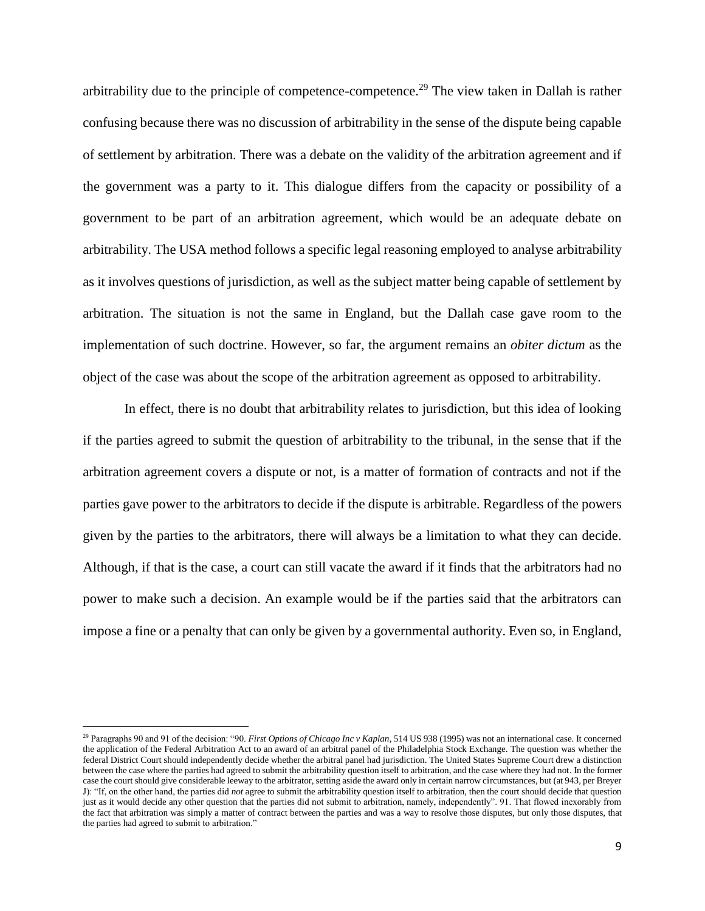arbitrability due to the principle of competence-competence.<sup>29</sup> The view taken in Dallah is rather confusing because there was no discussion of arbitrability in the sense of the dispute being capable of settlement by arbitration. There was a debate on the validity of the arbitration agreement and if the government was a party to it. This dialogue differs from the capacity or possibility of a government to be part of an arbitration agreement, which would be an adequate debate on arbitrability. The USA method follows a specific legal reasoning employed to analyse arbitrability as it involves questions of jurisdiction, as well as the subject matter being capable of settlement by arbitration. The situation is not the same in England, but the Dallah case gave room to the implementation of such doctrine. However, so far, the argument remains an *obiter dictum* as the object of the case was about the scope of the arbitration agreement as opposed to arbitrability.

In effect, there is no doubt that arbitrability relates to jurisdiction, but this idea of looking if the parties agreed to submit the question of arbitrability to the tribunal, in the sense that if the arbitration agreement covers a dispute or not, is a matter of formation of contracts and not if the parties gave power to the arbitrators to decide if the dispute is arbitrable. Regardless of the powers given by the parties to the arbitrators, there will always be a limitation to what they can decide. Although, if that is the case, a court can still vacate the award if it finds that the arbitrators had no power to make such a decision. An example would be if the parties said that the arbitrators can impose a fine or a penalty that can only be given by a governmental authority. Even so, in England,

<sup>29</sup> Paragraphs 90 and 91 of the decision: "90. *First Options of Chicago Inc v Kaplan*, 514 US 938 (1995) was not an international case. It concerned the application of the Federal Arbitration Act to an award of an arbitral panel of the Philadelphia Stock Exchange. The question was whether the federal District Court should independently decide whether the arbitral panel had jurisdiction. The United States Supreme Court drew a distinction between the case where the parties had agreed to submit the arbitrability question itself to arbitration, and the case where they had not. In the former case the court should give considerable leeway to the arbitrator, setting aside the award only in certain narrow circumstances, but (at 943, per Breyer J): "If, on the other hand, the parties did *not* agree to submit the arbitrability question itself to arbitration, then the court should decide that question just as it would decide any other question that the parties did not submit to arbitration, namely, independently". 91. That flowed inexorably from the fact that arbitration was simply a matter of contract between the parties and was a way to resolve those disputes, but only those disputes, that the parties had agreed to submit to arbitration."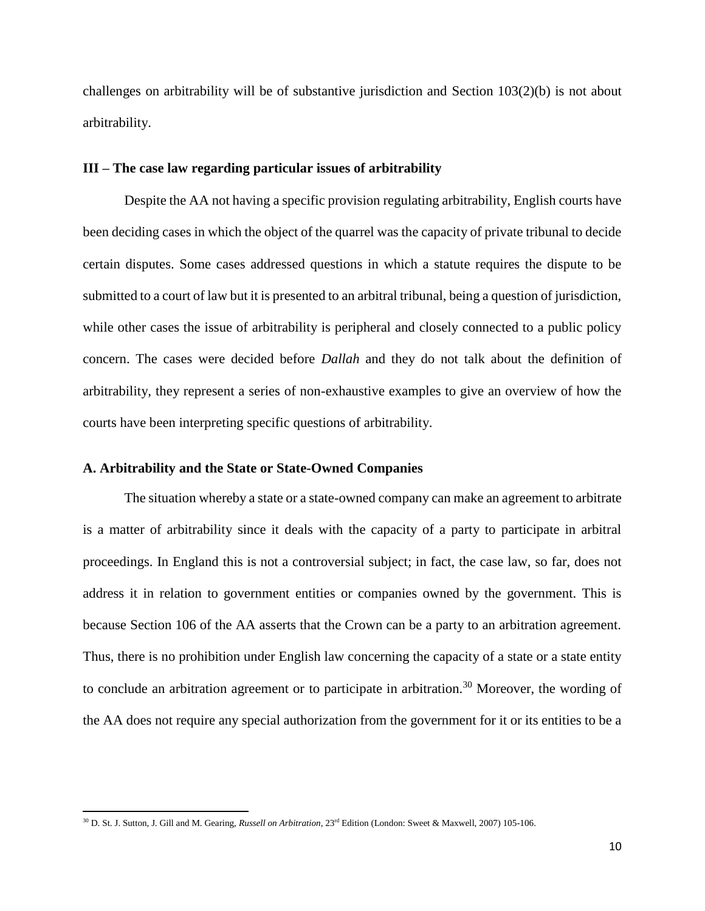challenges on arbitrability will be of substantive jurisdiction and Section  $103(2)(b)$  is not about arbitrability.

#### **III – The case law regarding particular issues of arbitrability**

Despite the AA not having a specific provision regulating arbitrability, English courts have been deciding cases in which the object of the quarrel was the capacity of private tribunal to decide certain disputes. Some cases addressed questions in which a statute requires the dispute to be submitted to a court of law but it is presented to an arbitral tribunal, being a question of jurisdiction, while other cases the issue of arbitrability is peripheral and closely connected to a public policy concern. The cases were decided before *Dallah* and they do not talk about the definition of arbitrability, they represent a series of non-exhaustive examples to give an overview of how the courts have been interpreting specific questions of arbitrability.

# **A. Arbitrability and the State or State-Owned Companies**

The situation whereby a state or a state-owned company can make an agreement to arbitrate is a matter of arbitrability since it deals with the capacity of a party to participate in arbitral proceedings. In England this is not a controversial subject; in fact, the case law, so far, does not address it in relation to government entities or companies owned by the government. This is because Section 106 of the AA asserts that the Crown can be a party to an arbitration agreement. Thus, there is no prohibition under English law concerning the capacity of a state or a state entity to conclude an arbitration agreement or to participate in arbitration.<sup>30</sup> Moreover, the wording of the AA does not require any special authorization from the government for it or its entities to be a

<sup>30</sup> D. St. J. Sutton, J. Gill and M. Gearing, *Russell on Arbitration*, 23rd Edition (London: Sweet & Maxwell, 2007) 105-106.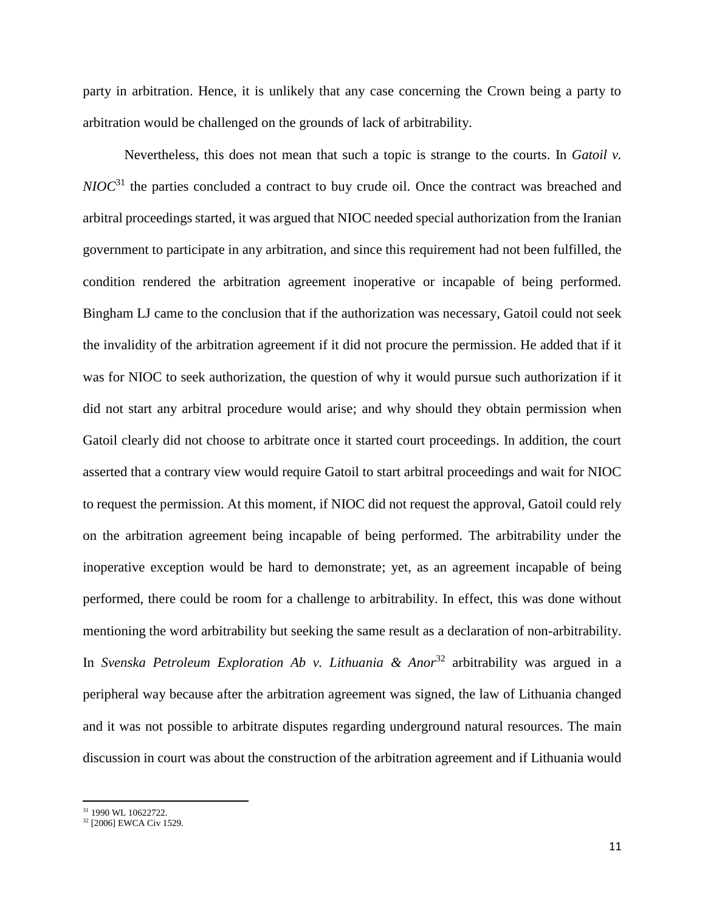party in arbitration. Hence, it is unlikely that any case concerning the Crown being a party to arbitration would be challenged on the grounds of lack of arbitrability.

Nevertheless, this does not mean that such a topic is strange to the courts. In *Gatoil v.*   $NIOC<sup>31</sup>$  the parties concluded a contract to buy crude oil. Once the contract was breached and arbitral proceedings started, it was argued that NIOC needed special authorization from the Iranian government to participate in any arbitration, and since this requirement had not been fulfilled, the condition rendered the arbitration agreement inoperative or incapable of being performed. Bingham LJ came to the conclusion that if the authorization was necessary, Gatoil could not seek the invalidity of the arbitration agreement if it did not procure the permission. He added that if it was for NIOC to seek authorization, the question of why it would pursue such authorization if it did not start any arbitral procedure would arise; and why should they obtain permission when Gatoil clearly did not choose to arbitrate once it started court proceedings. In addition, the court asserted that a contrary view would require Gatoil to start arbitral proceedings and wait for NIOC to request the permission. At this moment, if NIOC did not request the approval, Gatoil could rely on the arbitration agreement being incapable of being performed. The arbitrability under the inoperative exception would be hard to demonstrate; yet, as an agreement incapable of being performed, there could be room for a challenge to arbitrability. In effect, this was done without mentioning the word arbitrability but seeking the same result as a declaration of non-arbitrability. In *Svenska Petroleum Exploration Ab v. Lithuania & Anor*<sup>32</sup> arbitrability was argued in a peripheral way because after the arbitration agreement was signed, the law of Lithuania changed and it was not possible to arbitrate disputes regarding underground natural resources. The main discussion in court was about the construction of the arbitration agreement and if Lithuania would

<sup>31</sup> 1990 WL 10622722.

<sup>32</sup> [2006] EWCA Civ 1529.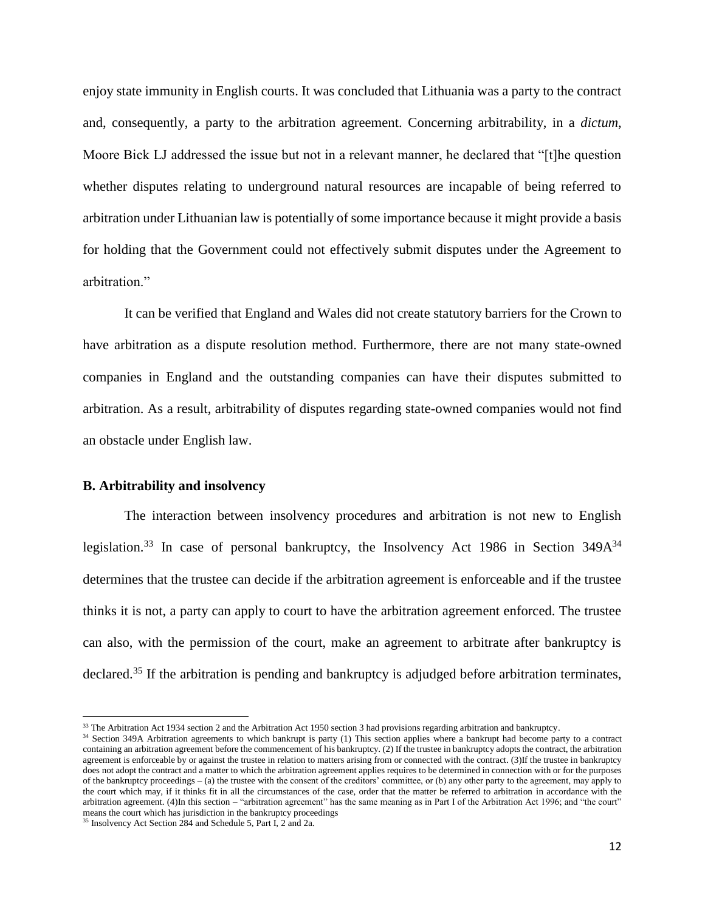enjoy state immunity in English courts. It was concluded that Lithuania was a party to the contract and, consequently, a party to the arbitration agreement. Concerning arbitrability, in a *dictum*, Moore Bick LJ addressed the issue but not in a relevant manner, he declared that "[t]he question whether disputes relating to underground natural resources are incapable of being referred to arbitration under Lithuanian law is potentially of some importance because it might provide a basis for holding that the Government could not effectively submit disputes under the Agreement to arbitration."

It can be verified that England and Wales did not create statutory barriers for the Crown to have arbitration as a dispute resolution method. Furthermore, there are not many state-owned companies in England and the outstanding companies can have their disputes submitted to arbitration. As a result, arbitrability of disputes regarding state-owned companies would not find an obstacle under English law.

### **B. Arbitrability and insolvency**

The interaction between insolvency procedures and arbitration is not new to English legislation.<sup>33</sup> In case of personal bankruptcy, the Insolvency Act 1986 in Section  $349A^{34}$ determines that the trustee can decide if the arbitration agreement is enforceable and if the trustee thinks it is not, a party can apply to court to have the arbitration agreement enforced. The trustee can also, with the permission of the court, make an agreement to arbitrate after bankruptcy is declared.<sup>35</sup> If the arbitration is pending and bankruptcy is adjudged before arbitration terminates,

<sup>&</sup>lt;sup>33</sup> The Arbitration Act 1934 section 2 and the Arbitration Act 1950 section 3 had provisions regarding arbitration and bankruptcy.

<sup>&</sup>lt;sup>34</sup> Section 349A Arbitration agreements to which bankrupt is party (1) This section applies where a bankrupt had become party to a contract containing an arbitration agreement before the commencement of his bankruptcy. (2) If the trustee in bankruptcy adopts the contract, the arbitration agreement is enforceable by or against the trustee in relation to matters arising from or connected with the contract. (3)If the trustee in bankruptcy does not adopt the contract and a matter to which the arbitration agreement applies requires to be determined in connection with or for the purposes of the bankruptcy proceedings – (a) the trustee with the consent of the creditors' committee, or (b) any other party to the agreement, may apply to the court which may, if it thinks fit in all the circumstances of the case, order that the matter be referred to arbitration in accordance with the arbitration agreement. (4)In this section – "arbitration agreement" has the same meaning as in Part I of the Arbitration Act 1996; and "the court" means the court which has jurisdiction in the bankruptcy proceedings

<sup>&</sup>lt;sup>35</sup> Insolvency Act Section 284 and Schedule 5, Part I, 2 and 2a.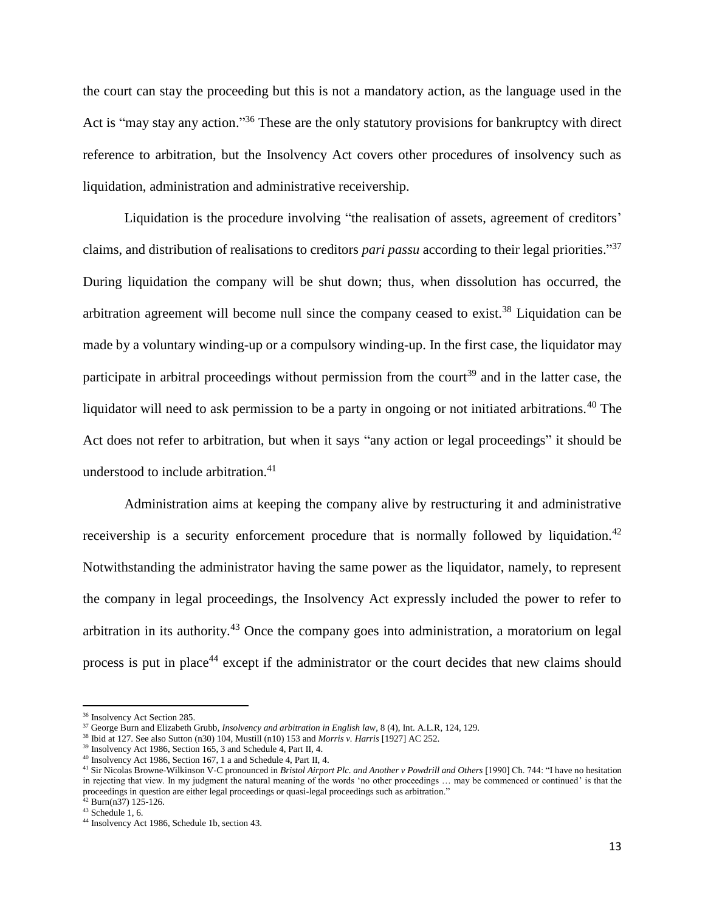the court can stay the proceeding but this is not a mandatory action, as the language used in the Act is "may stay any action."<sup>36</sup> These are the only statutory provisions for bankruptcy with direct reference to arbitration, but the Insolvency Act covers other procedures of insolvency such as liquidation, administration and administrative receivership.

Liquidation is the procedure involving "the realisation of assets, agreement of creditors' claims, and distribution of realisations to creditors *pari passu* according to their legal priorities." 37 During liquidation the company will be shut down; thus, when dissolution has occurred, the arbitration agreement will become null since the company ceased to exist.<sup>38</sup> Liquidation can be made by a voluntary winding-up or a compulsory winding-up. In the first case, the liquidator may participate in arbitral proceedings without permission from the court<sup>39</sup> and in the latter case, the liquidator will need to ask permission to be a party in ongoing or not initiated arbitrations.<sup>40</sup> The Act does not refer to arbitration, but when it says "any action or legal proceedings" it should be understood to include arbitration.<sup>41</sup>

Administration aims at keeping the company alive by restructuring it and administrative receivership is a security enforcement procedure that is normally followed by liquidation.<sup>42</sup> Notwithstanding the administrator having the same power as the liquidator, namely, to represent the company in legal proceedings, the Insolvency Act expressly included the power to refer to arbitration in its authority.<sup>43</sup> Once the company goes into administration, a moratorium on legal process is put in place<sup>44</sup> except if the administrator or the court decides that new claims should

<sup>36</sup> Insolvency Act Section 285.

<sup>37</sup> George Burn and Elizabeth Grubb, *Insolvency and arbitration in English law*, 8 (4), Int. A.L.R, 124, 129.

<sup>38</sup> Ibid at 127. See also Sutton (n30) 104, Mustill (n10) 153 and *Morris v. Harris* [1927] AC 252.

<sup>39</sup> Insolvency Act 1986, Section 165, 3 and Schedule 4, Part II, 4.

 $40$  Insolvency Act 1986, Section 167, 1 a and Schedule 4, Part II, 4.

<sup>41</sup> Sir Nicolas Browne-Wilkinson V-C pronounced in *Bristol Airport Plc. and Another v Powdrill and Others* [1990] Ch. 744: "I have no hesitation in rejecting that view. In my judgment the natural meaning of the words 'no other proceedings … may be commenced or continued' is that the proceedings in question are either legal proceedings or quasi-legal proceedings such as arbitration."

 $42$  Burn(n37) 125-126.

<sup>43</sup> Schedule 1, 6.

<sup>44</sup> Insolvency Act 1986, Schedule 1b, section 43.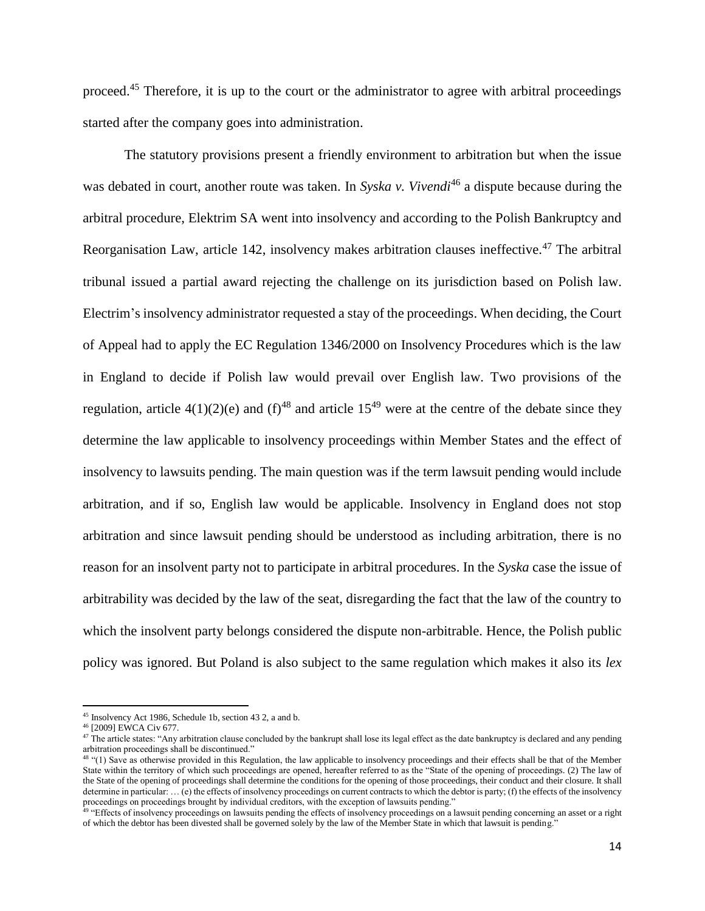proceed.<sup>45</sup> Therefore, it is up to the court or the administrator to agree with arbitral proceedings started after the company goes into administration.

The statutory provisions present a friendly environment to arbitration but when the issue was debated in court, another route was taken. In *Syska v. Vivendi*<sup>46</sup> a dispute because during the arbitral procedure, Elektrim SA went into insolvency and according to the Polish Bankruptcy and Reorganisation Law, article 142, insolvency makes arbitration clauses ineffective.<sup>47</sup> The arbitral tribunal issued a partial award rejecting the challenge on its jurisdiction based on Polish law. Electrim's insolvency administrator requested a stay of the proceedings. When deciding, the Court of Appeal had to apply the EC Regulation 1346/2000 on Insolvency Procedures which is the law in England to decide if Polish law would prevail over English law. Two provisions of the regulation, article  $4(1)(2)(e)$  and  $(f)^{48}$  and article  $15^{49}$  were at the centre of the debate since they determine the law applicable to insolvency proceedings within Member States and the effect of insolvency to lawsuits pending. The main question was if the term lawsuit pending would include arbitration, and if so, English law would be applicable. Insolvency in England does not stop arbitration and since lawsuit pending should be understood as including arbitration, there is no reason for an insolvent party not to participate in arbitral procedures. In the *Syska* case the issue of arbitrability was decided by the law of the seat, disregarding the fact that the law of the country to which the insolvent party belongs considered the dispute non-arbitrable. Hence, the Polish public policy was ignored. But Poland is also subject to the same regulation which makes it also its *lex* 

<sup>45</sup> Insolvency Act 1986, Schedule 1b, section 43 2, a and b.

<sup>46</sup> [2009] EWCA Civ 677.

 $47$  The article states: "Any arbitration clause concluded by the bankrupt shall lose its legal effect as the date bankruptcy is declared and any pending arbitration proceedings shall be discontinued."

 $48$  "(1) Save as otherwise provided in this Regulation, the law applicable to insolvency proceedings and their effects shall be that of the Member State within the territory of which such proceedings are opened, hereafter referred to as the "State of the opening of proceedings. (2) The law of the State of the opening of proceedings shall determine the conditions for the opening of those proceedings, their conduct and their closure. It shall determine in particular: … (e) the effects of insolvency proceedings on current contracts to which the debtor is party; (f) the effects of the insolvency proceedings on proceedings brought by individual creditors, with the exception of lawsuits pending."

<sup>&</sup>lt;sup>49</sup> "Effects of insolvency proceedings on lawsuits pending the effects of insolvency proceedings on a lawsuit pending concerning an asset or a right of which the debtor has been divested shall be governed solely by the law of the Member State in which that lawsuit is pending."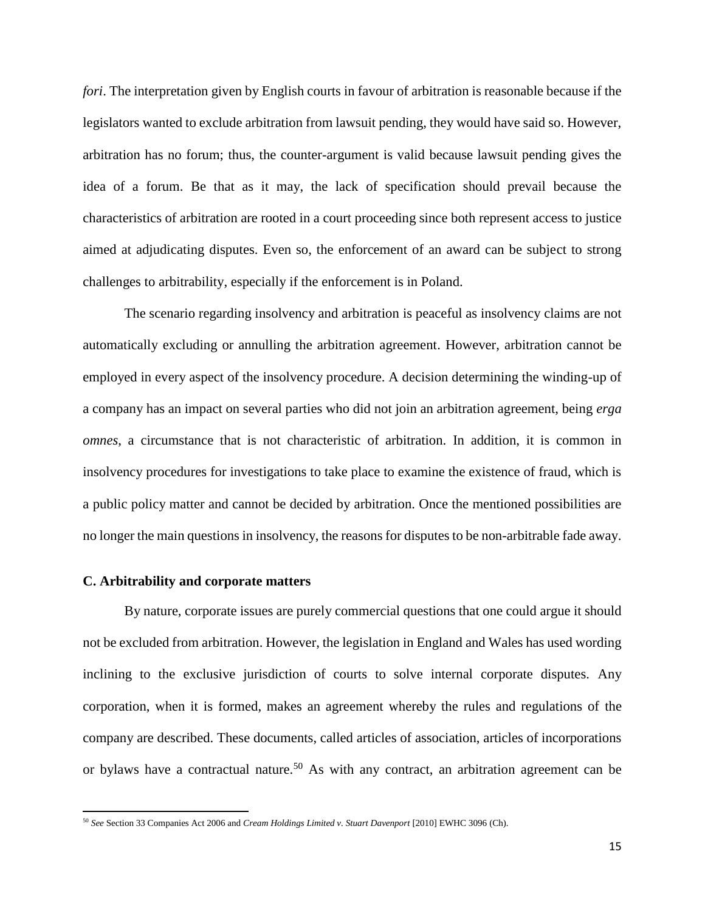*fori*. The interpretation given by English courts in favour of arbitration is reasonable because if the legislators wanted to exclude arbitration from lawsuit pending, they would have said so. However, arbitration has no forum; thus, the counter-argument is valid because lawsuit pending gives the idea of a forum. Be that as it may, the lack of specification should prevail because the characteristics of arbitration are rooted in a court proceeding since both represent access to justice aimed at adjudicating disputes. Even so, the enforcement of an award can be subject to strong challenges to arbitrability, especially if the enforcement is in Poland.

The scenario regarding insolvency and arbitration is peaceful as insolvency claims are not automatically excluding or annulling the arbitration agreement. However, arbitration cannot be employed in every aspect of the insolvency procedure. A decision determining the winding-up of a company has an impact on several parties who did not join an arbitration agreement, being *erga omnes*, a circumstance that is not characteristic of arbitration. In addition, it is common in insolvency procedures for investigations to take place to examine the existence of fraud, which is a public policy matter and cannot be decided by arbitration. Once the mentioned possibilities are no longer the main questions in insolvency, the reasons for disputes to be non-arbitrable fade away.

#### **C. Arbitrability and corporate matters**

 $\overline{\phantom{a}}$ 

By nature, corporate issues are purely commercial questions that one could argue it should not be excluded from arbitration. However, the legislation in England and Wales has used wording inclining to the exclusive jurisdiction of courts to solve internal corporate disputes. Any corporation, when it is formed, makes an agreement whereby the rules and regulations of the company are described. These documents, called articles of association, articles of incorporations or bylaws have a contractual nature.<sup>50</sup> As with any contract, an arbitration agreement can be

<sup>50</sup> *See* Section 33 Companies Act 2006 and *Cream Holdings Limited v. Stuart Davenport* [2010] EWHC 3096 (Ch).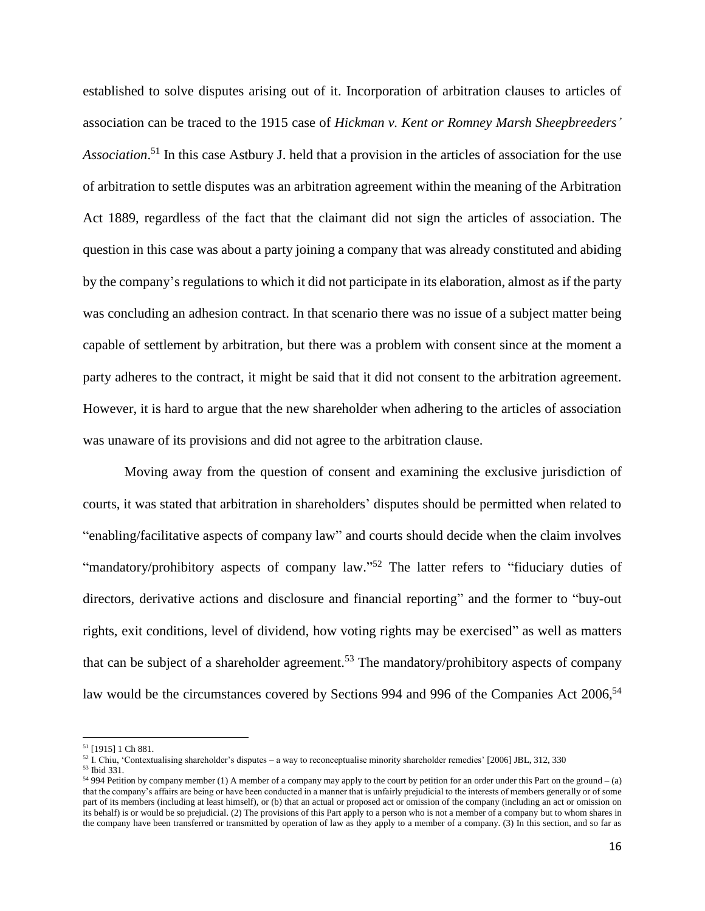established to solve disputes arising out of it. Incorporation of arbitration clauses to articles of association can be traced to the 1915 case of *Hickman v. Kent or Romney Marsh Sheepbreeders' Association*. <sup>51</sup> In this case Astbury J. held that a provision in the articles of association for the use of arbitration to settle disputes was an arbitration agreement within the meaning of the Arbitration Act 1889, regardless of the fact that the claimant did not sign the articles of association. The question in this case was about a party joining a company that was already constituted and abiding by the company's regulations to which it did not participate in its elaboration, almost as if the party was concluding an adhesion contract. In that scenario there was no issue of a subject matter being capable of settlement by arbitration, but there was a problem with consent since at the moment a party adheres to the contract, it might be said that it did not consent to the arbitration agreement. However, it is hard to argue that the new shareholder when adhering to the articles of association was unaware of its provisions and did not agree to the arbitration clause.

Moving away from the question of consent and examining the exclusive jurisdiction of courts, it was stated that arbitration in shareholders' disputes should be permitted when related to "enabling/facilitative aspects of company law" and courts should decide when the claim involves "mandatory/prohibitory aspects of company law."<sup>52</sup> The latter refers to "fiduciary duties of directors, derivative actions and disclosure and financial reporting" and the former to "buy-out rights, exit conditions, level of dividend, how voting rights may be exercised" as well as matters that can be subject of a shareholder agreement.<sup>53</sup> The mandatory/prohibitory aspects of company law would be the circumstances covered by Sections 994 and 996 of the Companies Act 2006,<sup>54</sup>

<sup>51</sup> [1915] 1 Ch 881.

 $52$  I. Chiu, 'Contextualising shareholder's disputes – a way to reconceptualise minority shareholder remedies' [2006] JBL, 312, 330

<sup>53</sup> Ibid 331.

 $54$  994 Petition by company member (1) A member of a company may apply to the court by petition for an order under this Part on the ground – (a) that the company's affairs are being or have been conducted in a manner that is unfairly prejudicial to the interests of members generally or of some part of its members (including at least himself), or (b) that an actual or proposed act or omission of the company (including an act or omission on its behalf) is or would be so prejudicial. (2) The provisions of this Part apply to a person who is not a member of a company but to whom shares in the company have been transferred or transmitted by operation of law as they apply to a member of a company. (3) In this section, and so far as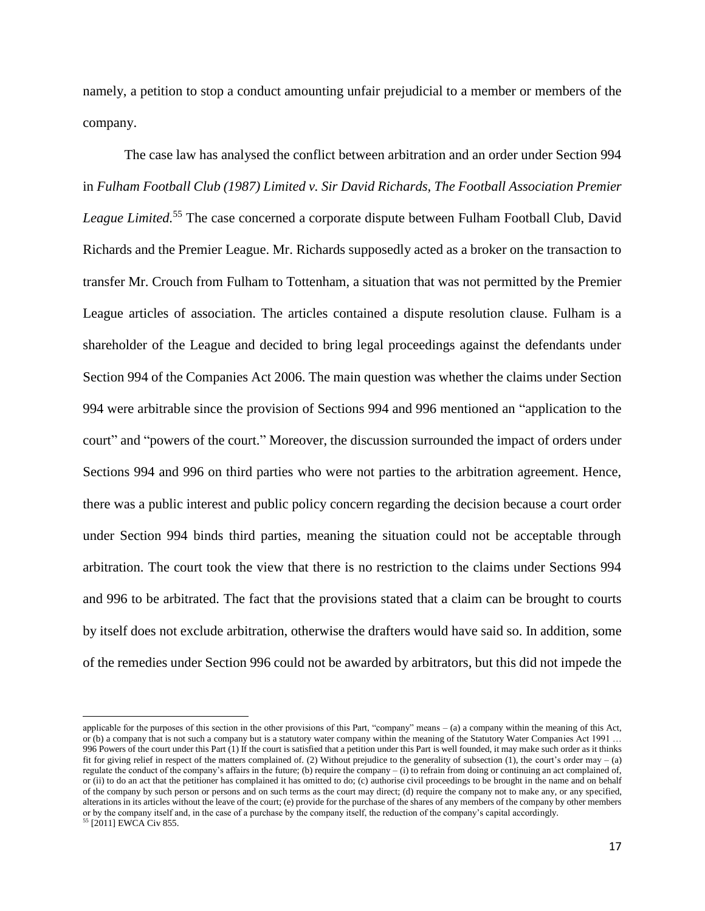namely, a petition to stop a conduct amounting unfair prejudicial to a member or members of the company.

The case law has analysed the conflict between arbitration and an order under Section 994 in *Fulham Football Club (1987) Limited v. Sir David Richards, The Football Association Premier League Limited.*<sup>55</sup> The case concerned a corporate dispute between Fulham Football Club, David Richards and the Premier League. Mr. Richards supposedly acted as a broker on the transaction to transfer Mr. Crouch from Fulham to Tottenham, a situation that was not permitted by the Premier League articles of association. The articles contained a dispute resolution clause. Fulham is a shareholder of the League and decided to bring legal proceedings against the defendants under Section 994 of the Companies Act 2006. The main question was whether the claims under Section 994 were arbitrable since the provision of Sections 994 and 996 mentioned an "application to the court" and "powers of the court." Moreover, the discussion surrounded the impact of orders under Sections 994 and 996 on third parties who were not parties to the arbitration agreement. Hence, there was a public interest and public policy concern regarding the decision because a court order under Section 994 binds third parties, meaning the situation could not be acceptable through arbitration. The court took the view that there is no restriction to the claims under Sections 994 and 996 to be arbitrated. The fact that the provisions stated that a claim can be brought to courts by itself does not exclude arbitration, otherwise the drafters would have said so. In addition, some of the remedies under Section 996 could not be awarded by arbitrators, but this did not impede the

applicable for the purposes of this section in the other provisions of this Part, "company" means – (a) a company within the meaning of this Act, or (b) a company that is not such a company but is a statutory water company within the meaning of the Statutory Water Companies Act 1991 … 996 Powers of the court under this Part (1) If the court is satisfied that a petition under this Part is well founded, it may make such order as it thinks fit for giving relief in respect of the matters complained of. (2) Without prejudice to the generality of subsection (1), the court's order may – (a) regulate the conduct of the company's affairs in the future; (b) require the company – (i) to refrain from doing or continuing an act complained of, or (ii) to do an act that the petitioner has complained it has omitted to do; (c) authorise civil proceedings to be brought in the name and on behalf of the company by such person or persons and on such terms as the court may direct; (d) require the company not to make any, or any specified, alterations in its articles without the leave of the court; (e) provide for the purchase of the shares of any members of the company by other members or by the company itself and, in the case of a purchase by the company itself, the reduction of the company's capital accordingly. <sup>55</sup> [2011] EWCA Civ 855.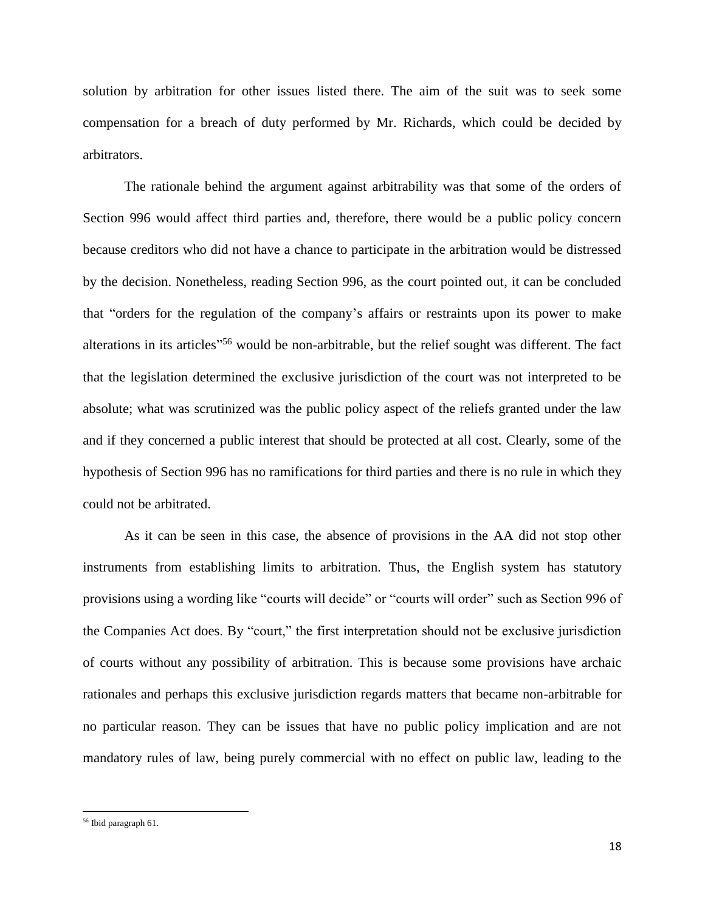solution by arbitration for other issues listed there. The aim of the suit was to seek some compensation for a breach of duty performed by Mr. Richards, which could be decided by arbitrators.

The rationale behind the argument against arbitrability was that some of the orders of Section 996 would affect third parties and, therefore, there would be a public policy concern because creditors who did not have a chance to participate in the arbitration would be distressed by the decision. Nonetheless, reading Section 996, as the court pointed out, it can be concluded that "orders for the regulation of the company's affairs or restraints upon its power to make alterations in its articles<sup>156</sup> would be non-arbitrable, but the relief sought was different. The fact that the legislation determined the exclusive jurisdiction of the court was not interpreted to be absolute; what was scrutinized was the public policy aspect of the reliefs granted under the law and if they concerned a public interest that should be protected at all cost. Clearly, some of the hypothesis of Section 996 has no ramifications for third parties and there is no rule in which they could not be arbitrated.

As it can be seen in this case, the absence of provisions in the AA did not stop other instruments from establishing limits to arbitration. Thus, the English system has statutory provisions using a wording like "courts will decide" or "courts will order" such as Section 996 of the Companies Act does. By "court," the first interpretation should not be exclusive jurisdiction of courts without any possibility of arbitration. This is because some provisions have archaic rationales and perhaps this exclusive jurisdiction regards matters that became non-arbitrable for no particular reason. They can be issues that have no public policy implication and are not mandatory rules of law, being purely commercial with no effect on public law, leading to the

<sup>56</sup> Ibid paragraph 61.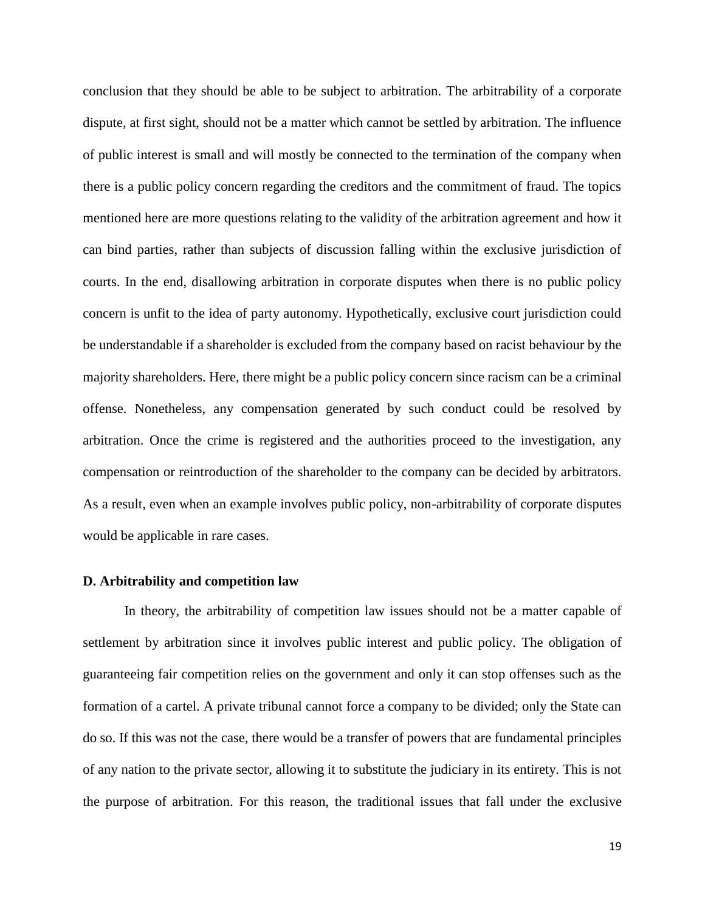conclusion that they should be able to be subject to arbitration. The arbitrability of a corporate dispute, at first sight, should not be a matter which cannot be settled by arbitration. The influence of public interest is small and will mostly be connected to the termination of the company when there is a public policy concern regarding the creditors and the commitment of fraud. The topics mentioned here are more questions relating to the validity of the arbitration agreement and how it can bind parties, rather than subjects of discussion falling within the exclusive jurisdiction of courts. In the end, disallowing arbitration in corporate disputes when there is no public policy concern is unfit to the idea of party autonomy. Hypothetically, exclusive court jurisdiction could be understandable if a shareholder is excluded from the company based on racist behaviour by the majority shareholders. Here, there might be a public policy concern since racism can be a criminal offense. Nonetheless, any compensation generated by such conduct could be resolved by arbitration. Once the crime is registered and the authorities proceed to the investigation, any compensation or reintroduction of the shareholder to the company can be decided by arbitrators. As a result, even when an example involves public policy, non-arbitrability of corporate disputes would be applicable in rare cases.

#### **D. Arbitrability and competition law**

In theory, the arbitrability of competition law issues should not be a matter capable of settlement by arbitration since it involves public interest and public policy. The obligation of guaranteeing fair competition relies on the government and only it can stop offenses such as the formation of a cartel. A private tribunal cannot force a company to be divided; only the State can do so. If this was not the case, there would be a transfer of powers that are fundamental principles of any nation to the private sector, allowing it to substitute the judiciary in its entirety. This is not the purpose of arbitration. For this reason, the traditional issues that fall under the exclusive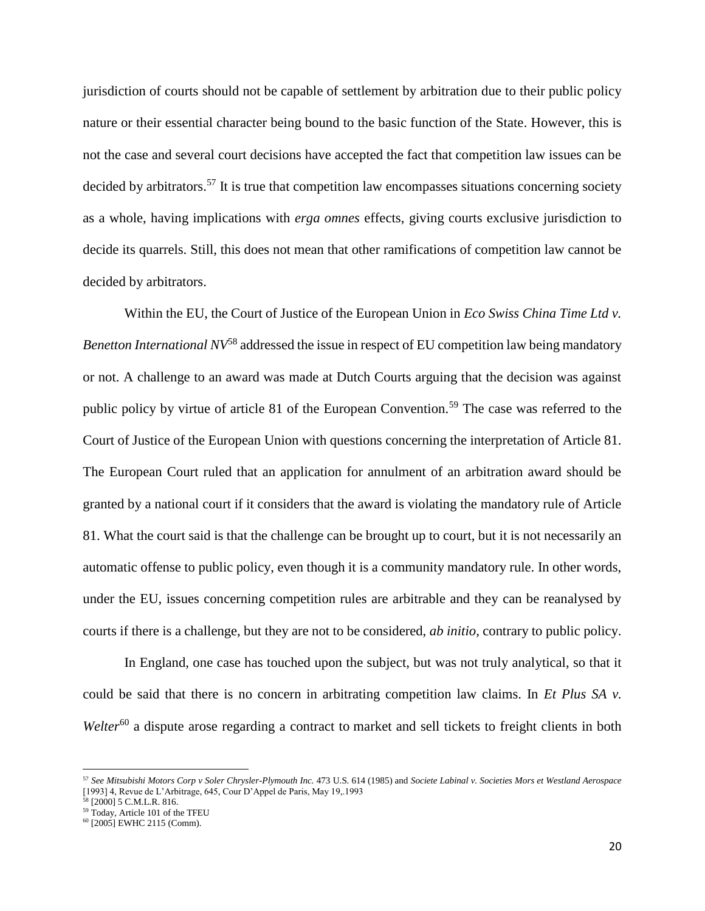jurisdiction of courts should not be capable of settlement by arbitration due to their public policy nature or their essential character being bound to the basic function of the State. However, this is not the case and several court decisions have accepted the fact that competition law issues can be decided by arbitrators.<sup>57</sup> It is true that competition law encompasses situations concerning society as a whole, having implications with *erga omnes* effects, giving courts exclusive jurisdiction to decide its quarrels. Still, this does not mean that other ramifications of competition law cannot be decided by arbitrators.

Within the EU, the Court of Justice of the European Union in *Eco Swiss China Time Ltd v. Benetton International NV*<sup>58</sup> addressed the issue in respect of EU competition law being mandatory or not. A challenge to an award was made at Dutch Courts arguing that the decision was against public policy by virtue of article 81 of the European Convention.<sup>59</sup> The case was referred to the Court of Justice of the European Union with questions concerning the interpretation of Article 81. The European Court ruled that an application for annulment of an arbitration award should be granted by a national court if it considers that the award is violating the mandatory rule of Article 81. What the court said is that the challenge can be brought up to court, but it is not necessarily an automatic offense to public policy, even though it is a community mandatory rule. In other words, under the EU, issues concerning competition rules are arbitrable and they can be reanalysed by courts if there is a challenge, but they are not to be considered, *ab initio*, contrary to public policy.

In England, one case has touched upon the subject, but was not truly analytical, so that it could be said that there is no concern in arbitrating competition law claims. In *Et Plus SA v. Welter*<sup>60</sup> a dispute arose regarding a contract to market and sell tickets to freight clients in both

<sup>57</sup> *See Mitsubishi Motors Corp v Soler Chrysler-Plymouth Inc.* 473 U.S. 614 (1985) and *Societe Labinal v. Societies Mors et Westland Aerospace*  [1993] 4, Revue de L'Arbitrage, 645, Cour D'Appel de Paris, May 19,.1993

<sup>[2000] 5</sup> C.M.L.R. 816.

<sup>59</sup> Today, Article 101 of the TFEU

<sup>60</sup> [2005] EWHC 2115 (Comm).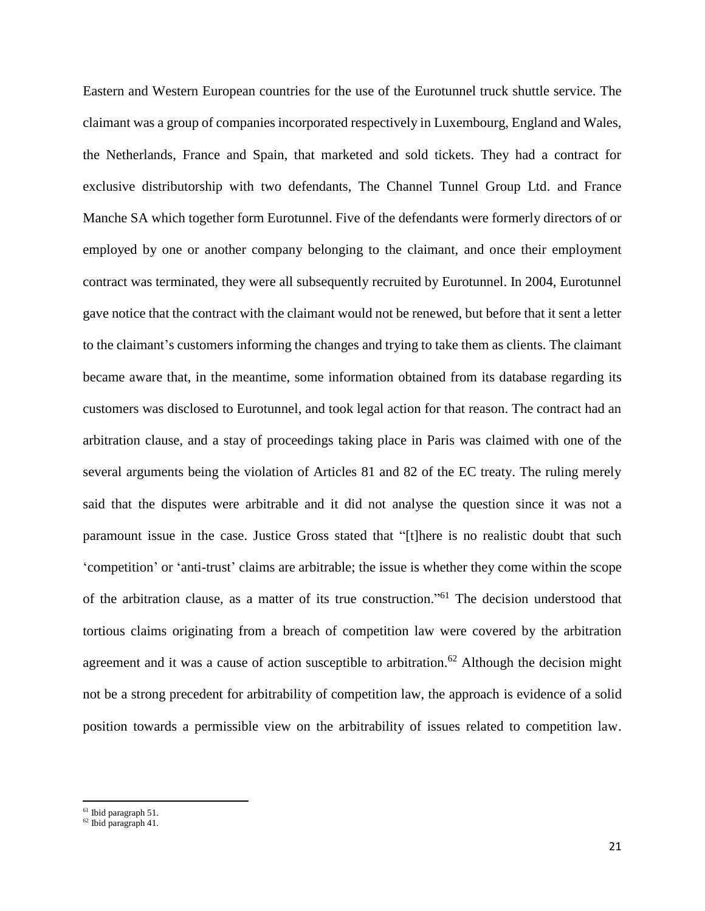Eastern and Western European countries for the use of the Eurotunnel truck shuttle service. The claimant was a group of companies incorporated respectively in Luxembourg, England and Wales, the Netherlands, France and Spain, that marketed and sold tickets. They had a contract for exclusive distributorship with two defendants, The Channel Tunnel Group Ltd. and France Manche SA which together form Eurotunnel. Five of the defendants were formerly directors of or employed by one or another company belonging to the claimant, and once their employment contract was terminated, they were all subsequently recruited by Eurotunnel. In 2004, Eurotunnel gave notice that the contract with the claimant would not be renewed, but before that it sent a letter to the claimant's customers informing the changes and trying to take them as clients. The claimant became aware that, in the meantime, some information obtained from its database regarding its customers was disclosed to Eurotunnel, and took legal action for that reason. The contract had an arbitration clause, and a stay of proceedings taking place in Paris was claimed with one of the several arguments being the violation of Articles 81 and 82 of the EC treaty. The ruling merely said that the disputes were arbitrable and it did not analyse the question since it was not a paramount issue in the case. Justice Gross stated that "[t]here is no realistic doubt that such 'competition' or 'anti-trust' claims are arbitrable; the issue is whether they come within the scope of the arbitration clause, as a matter of its true construction."<sup>61</sup> The decision understood that tortious claims originating from a breach of competition law were covered by the arbitration agreement and it was a cause of action susceptible to arbitration.<sup>62</sup> Although the decision might not be a strong precedent for arbitrability of competition law, the approach is evidence of a solid position towards a permissible view on the arbitrability of issues related to competition law.

<sup>61</sup> Ibid paragraph 51.

<sup>62</sup> Ibid paragraph 41.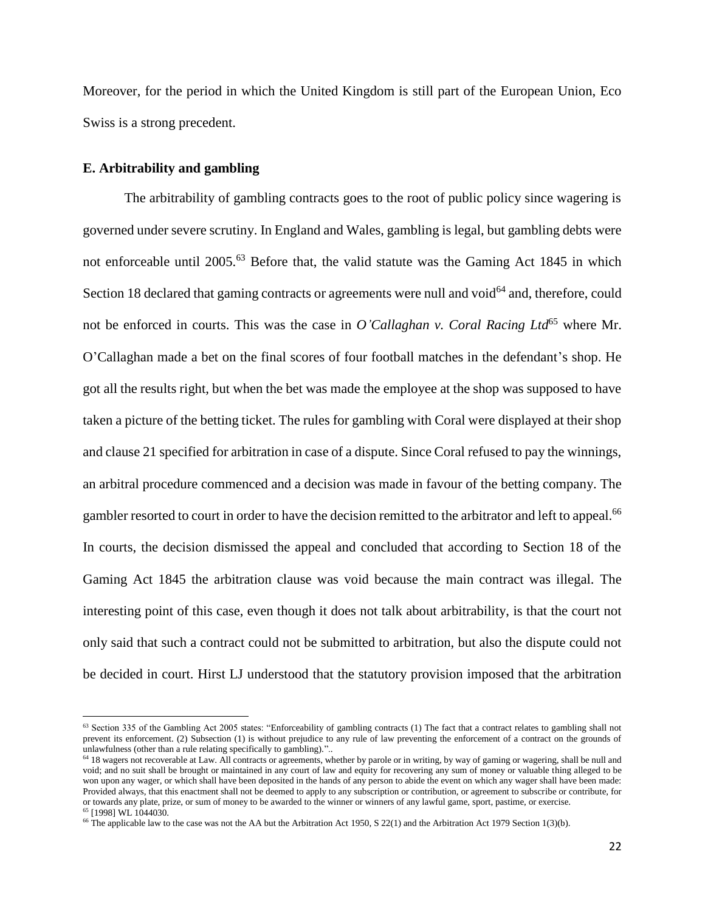Moreover, for the period in which the United Kingdom is still part of the European Union, Eco Swiss is a strong precedent.

#### **E. Arbitrability and gambling**

 $\overline{a}$ 

The arbitrability of gambling contracts goes to the root of public policy since wagering is governed under severe scrutiny. In England and Wales, gambling is legal, but gambling debts were not enforceable until 2005.<sup>63</sup> Before that, the valid statute was the Gaming Act 1845 in which Section 18 declared that gaming contracts or agreements were null and void<sup>64</sup> and, therefore, could not be enforced in courts. This was the case in *O'Callaghan v. Coral Racing Ltd*<sup>65</sup> where Mr. O'Callaghan made a bet on the final scores of four football matches in the defendant's shop. He got all the results right, but when the bet was made the employee at the shop was supposed to have taken a picture of the betting ticket. The rules for gambling with Coral were displayed at their shop and clause 21 specified for arbitration in case of a dispute. Since Coral refused to pay the winnings, an arbitral procedure commenced and a decision was made in favour of the betting company. The gambler resorted to court in order to have the decision remitted to the arbitrator and left to appeal.<sup>66</sup> In courts, the decision dismissed the appeal and concluded that according to Section 18 of the Gaming Act 1845 the arbitration clause was void because the main contract was illegal. The interesting point of this case, even though it does not talk about arbitrability, is that the court not only said that such a contract could not be submitted to arbitration, but also the dispute could not be decided in court. Hirst LJ understood that the statutory provision imposed that the arbitration

 $63$  Section 335 of the Gambling Act 2005 states: "Enforceability of gambling contracts (1) The fact that a contract relates to gambling shall not prevent its enforcement. (2) Subsection (1) is without prejudice to any rule of law preventing the enforcement of a contract on the grounds of unlawfulness (other than a rule relating specifically to gambling)."..

 $64$  18 wagers not recoverable at Law. All contracts or agreements, whether by parole or in writing, by way of gaming or wagering, shall be null and void; and no suit shall be brought or maintained in any court of law and equity for recovering any sum of money or valuable thing alleged to be won upon any wager, or which shall have been deposited in the hands of any person to abide the event on which any wager shall have been made: Provided always, that this enactment shall not be deemed to apply to any subscription or contribution, or agreement to subscribe or contribute, for or towards any plate, prize, or sum of money to be awarded to the winner or winners of any lawful game, sport, pastime, or exercise. <sup>65</sup> [1998] WL 1044030.

<sup>&</sup>lt;sup>66</sup> The applicable law to the case was not the AA but the Arbitration Act 1950, S 22(1) and the Arbitration Act 1979 Section 1(3)(b).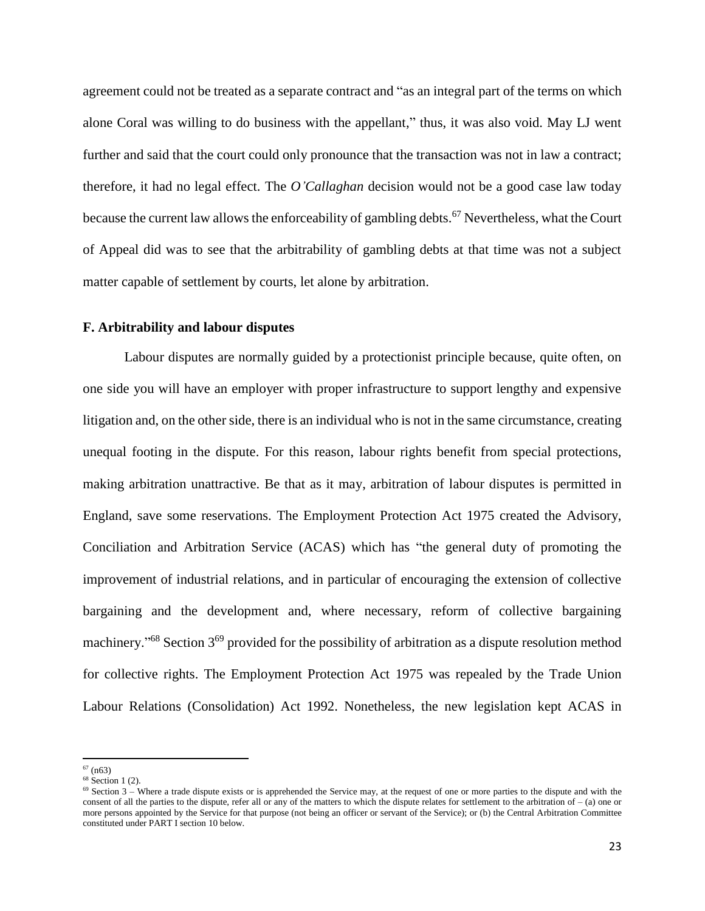agreement could not be treated as a separate contract and "as an integral part of the terms on which alone Coral was willing to do business with the appellant," thus, it was also void. May LJ went further and said that the court could only pronounce that the transaction was not in law a contract; therefore, it had no legal effect. The *O'Callaghan* decision would not be a good case law today because the current law allows the enforceability of gambling debts.<sup>67</sup> Nevertheless, what the Court of Appeal did was to see that the arbitrability of gambling debts at that time was not a subject matter capable of settlement by courts, let alone by arbitration.

#### **F. Arbitrability and labour disputes**

Labour disputes are normally guided by a protectionist principle because, quite often, on one side you will have an employer with proper infrastructure to support lengthy and expensive litigation and, on the other side, there is an individual who is not in the same circumstance, creating unequal footing in the dispute. For this reason, labour rights benefit from special protections, making arbitration unattractive. Be that as it may, arbitration of labour disputes is permitted in England, save some reservations. The Employment Protection Act 1975 created the Advisory, Conciliation and Arbitration Service (ACAS) which has "the general duty of promoting the improvement of industrial relations, and in particular of encouraging the extension of collective bargaining and the development and, where necessary, reform of collective bargaining machinery."<sup>68</sup> Section 3<sup>69</sup> provided for the possibility of arbitration as a dispute resolution method for collective rights. The Employment Protection Act 1975 was repealed by the Trade Union Labour Relations (Consolidation) Act 1992. Nonetheless, the new legislation kept ACAS in

l

 $67$  (n63)

 $68$  Section 1 (2).

 $69$  Section 3 – Where a trade dispute exists or is apprehended the Service may, at the request of one or more parties to the dispute and with the consent of all the parties to the dispute, refer all or any of the matters to which the dispute relates for settlement to the arbitration of  $-$  (a) one or more persons appointed by the Service for that purpose (not being an officer or servant of the Service); or (b) the Central Arbitration Committee constituted under PART I section 10 below.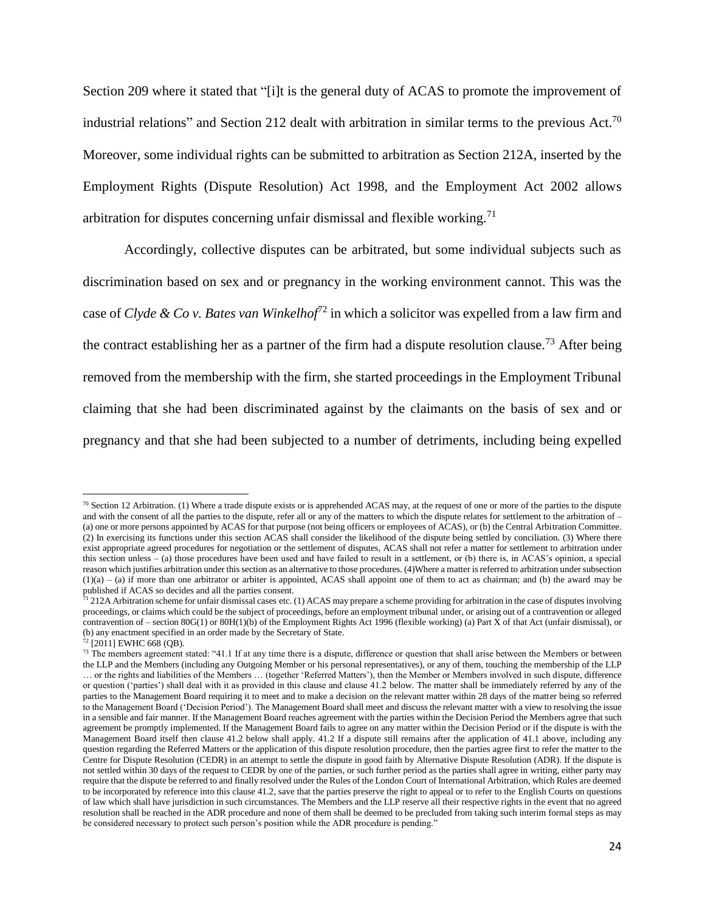Section 209 where it stated that "[i]t is the general duty of ACAS to promote the improvement of industrial relations" and Section 212 dealt with arbitration in similar terms to the previous Act.<sup>70</sup> Moreover, some individual rights can be submitted to arbitration as Section 212A, inserted by the Employment Rights (Dispute Resolution) Act 1998, and the Employment Act 2002 allows arbitration for disputes concerning unfair dismissal and flexible working.<sup>71</sup>

Accordingly, collective disputes can be arbitrated, but some individual subjects such as discrimination based on sex and or pregnancy in the working environment cannot. This was the case of *Clyde & Co v. Bates van Winkelhof*<sup>72</sup> in which a solicitor was expelled from a law firm and the contract establishing her as a partner of the firm had a dispute resolution clause.<sup>73</sup> After being removed from the membership with the firm, she started proceedings in the Employment Tribunal claiming that she had been discriminated against by the claimants on the basis of sex and or pregnancy and that she had been subjected to a number of detriments, including being expelled

 $70$  Section 12 Arbitration. (1) Where a trade dispute exists or is apprehended ACAS may, at the request of one or more of the parties to the dispute and with the consent of all the parties to the dispute, refer all or any of the matters to which the dispute relates for settlement to the arbitration of – (a) one or more persons appointed by ACAS for that purpose (not being officers or employees of ACAS), or (b) the Central Arbitration Committee. (2) In exercising its functions under this section ACAS shall consider the likelihood of the dispute being settled by conciliation. (3) Where there exist appropriate agreed procedures for negotiation or the settlement of disputes, ACAS shall not refer a matter for settlement to arbitration under this section unless – (a) those procedures have been used and have failed to result in a settlement, or (b) there is, in ACAS's opinion, a special reason which justifies arbitration under this section as an alternative to those procedures. (4)Where a matter is referred to arbitration under subsection  $(1)(a) - (a)$  if more than one arbitrator or arbiter is appointed, ACAS shall appoint one of them to act as chairman; and (b) the award may be published if ACAS so decides and all the parties consent.

 $71$  212A Arbitration scheme for unfair dismissal cases etc. (1) ACAS may prepare a scheme providing for arbitration in the case of disputes involving proceedings, or claims which could be the subject of proceedings, before an employment tribunal under, or arising out of a contravention or alleged contravention of – section 80G(1) or 80H(1)(b) of the Employment Rights Act 1996 (flexible working) (a) Part X of that Act (unfair dismissal), or (b) any enactment specified in an order made by the Secretary of State.

 $72$  [2011] EWHC 668 (QB).

 $73$  The members agreement stated: "41.1 If at any time there is a dispute, difference or question that shall arise between the Members or between the LLP and the Members (including any Outgoing Member or his personal representatives), or any of them, touching the membership of the LLP … or the rights and liabilities of the Members … (together 'Referred Matters'), then the Member or Members involved in such dispute, difference or question ('parties') shall deal with it as provided in this clause and clause 41.2 below. The matter shall be immediately referred by any of the parties to the Management Board requiring it to meet and to make a decision on the relevant matter within 28 days of the matter being so referred to the Management Board ('Decision Period'). The Management Board shall meet and discuss the relevant matter with a view to resolving the issue in a sensible and fair manner. If the Management Board reaches agreement with the parties within the Decision Period the Members agree that such agreement be promptly implemented. If the Management Board fails to agree on any matter within the Decision Period or if the dispute is with the Management Board itself then clause 41.2 below shall apply. 41.2 If a dispute still remains after the application of 41.1 above, including any question regarding the Referred Matters or the application of this dispute resolution procedure, then the parties agree first to refer the matter to the Centre for Dispute Resolution (CEDR) in an attempt to settle the dispute in good faith by Alternative Dispute Resolution (ADR). If the dispute is not settled within 30 days of the request to CEDR by one of the parties, or such further period as the parties shall agree in writing, either party may require that the dispute be referred to and finally resolved under the Rules of the London Court of International Arbitration, which Rules are deemed to be incorporated by reference into this clause 41.2, save that the parties preserve the right to appeal or to refer to the English Courts on questions of law which shall have jurisdiction in such circumstances. The Members and the LLP reserve all their respective rights in the event that no agreed resolution shall be reached in the ADR procedure and none of them shall be deemed to be precluded from taking such interim formal steps as may be considered necessary to protect such person's position while the ADR procedure is pending."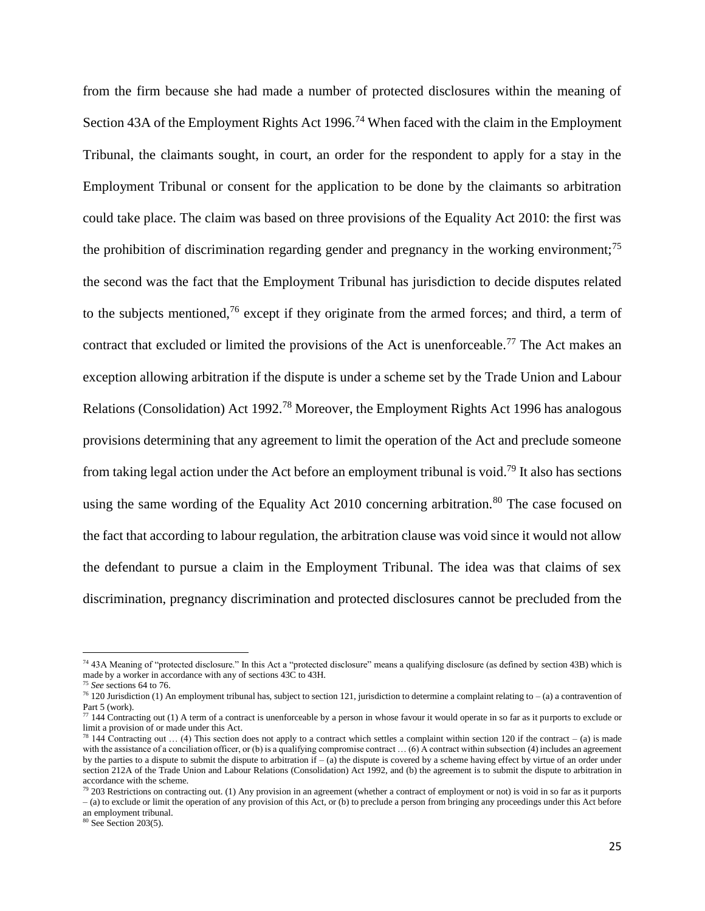from the firm because she had made a number of protected disclosures within the meaning of Section 43A of the Employment Rights Act 1996.<sup>74</sup> When faced with the claim in the Employment Tribunal, the claimants sought, in court, an order for the respondent to apply for a stay in the Employment Tribunal or consent for the application to be done by the claimants so arbitration could take place. The claim was based on three provisions of the Equality Act 2010: the first was the prohibition of discrimination regarding gender and pregnancy in the working environment;<sup>75</sup> the second was the fact that the Employment Tribunal has jurisdiction to decide disputes related to the subjects mentioned,<sup>76</sup> except if they originate from the armed forces; and third, a term of contract that excluded or limited the provisions of the Act is unenforceable.<sup>77</sup> The Act makes an exception allowing arbitration if the dispute is under a scheme set by the Trade Union and Labour Relations (Consolidation) Act 1992.<sup>78</sup> Moreover, the Employment Rights Act 1996 has analogous provisions determining that any agreement to limit the operation of the Act and preclude someone from taking legal action under the Act before an employment tribunal is void.<sup>79</sup> It also has sections using the same wording of the Equality Act 2010 concerning arbitration.<sup>80</sup> The case focused on the fact that according to labour regulation, the arbitration clause was void since it would not allow the defendant to pursue a claim in the Employment Tribunal. The idea was that claims of sex discrimination, pregnancy discrimination and protected disclosures cannot be precluded from the

<sup>74</sup> 43A Meaning of "protected disclosure." In this Act a "protected disclosure" means a qualifying disclosure (as defined by section 43B) which is made by a worker in accordance with any of sections 43C to 43H.

<sup>75</sup> *See* sections 64 to 76.

<sup>&</sup>lt;sup>76</sup> 120 Jurisdiction (1) An employment tribunal has, subject to section 121, jurisdiction to determine a complaint relating to  $-$  (a) a contravention of Part 5 (work).

 $77$  144 Contracting out (1) A term of a contract is unenforceable by a person in whose favour it would operate in so far as it purports to exclude or limit a provision of or made under this Act.

<sup>&</sup>lt;sup>78</sup> 144 Contracting out ... (4) This section does not apply to a contract which settles a complaint within section 120 if the contract – (a) is made with the assistance of a conciliation officer, or (b) is a qualifying compromise contract ... (6) A contract within subsection (4) includes an agreement by the parties to a dispute to submit the dispute to arbitration if  $-$  (a) the dispute is covered by a scheme having effect by virtue of an order under section 212A of the Trade Union and Labour Relations (Consolidation) Act 1992, and (b) the agreement is to submit the dispute to arbitration in accordance with the scheme.

 $79$  203 Restrictions on contracting out. (1) Any provision in an agreement (whether a contract of employment or not) is void in so far as it purports – (a) to exclude or limit the operation of any provision of this Act, or (b) to preclude a person from bringing any proceedings under this Act before an employment tribunal.

<sup>80</sup> See Section 203(5).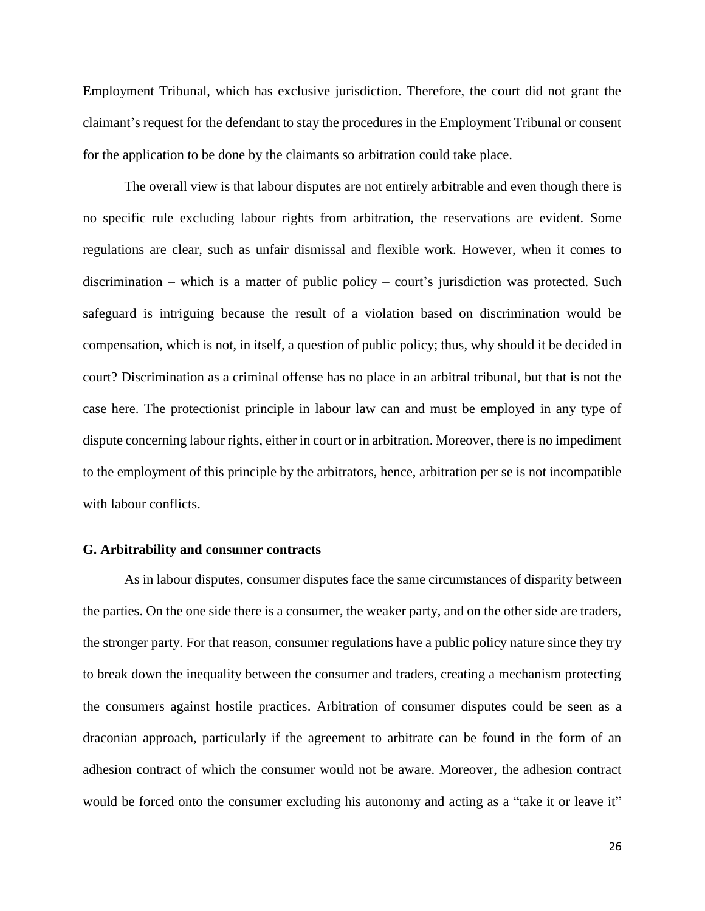Employment Tribunal, which has exclusive jurisdiction. Therefore, the court did not grant the claimant's request for the defendant to stay the procedures in the Employment Tribunal or consent for the application to be done by the claimants so arbitration could take place.

The overall view is that labour disputes are not entirely arbitrable and even though there is no specific rule excluding labour rights from arbitration, the reservations are evident. Some regulations are clear, such as unfair dismissal and flexible work. However, when it comes to discrimination – which is a matter of public policy – court's jurisdiction was protected. Such safeguard is intriguing because the result of a violation based on discrimination would be compensation, which is not, in itself, a question of public policy; thus, why should it be decided in court? Discrimination as a criminal offense has no place in an arbitral tribunal, but that is not the case here. The protectionist principle in labour law can and must be employed in any type of dispute concerning labour rights, either in court or in arbitration. Moreover, there is no impediment to the employment of this principle by the arbitrators, hence, arbitration per se is not incompatible with labour conflicts.

#### **G. Arbitrability and consumer contracts**

As in labour disputes, consumer disputes face the same circumstances of disparity between the parties. On the one side there is a consumer, the weaker party, and on the other side are traders, the stronger party. For that reason, consumer regulations have a public policy nature since they try to break down the inequality between the consumer and traders, creating a mechanism protecting the consumers against hostile practices. Arbitration of consumer disputes could be seen as a draconian approach, particularly if the agreement to arbitrate can be found in the form of an adhesion contract of which the consumer would not be aware. Moreover, the adhesion contract would be forced onto the consumer excluding his autonomy and acting as a "take it or leave it"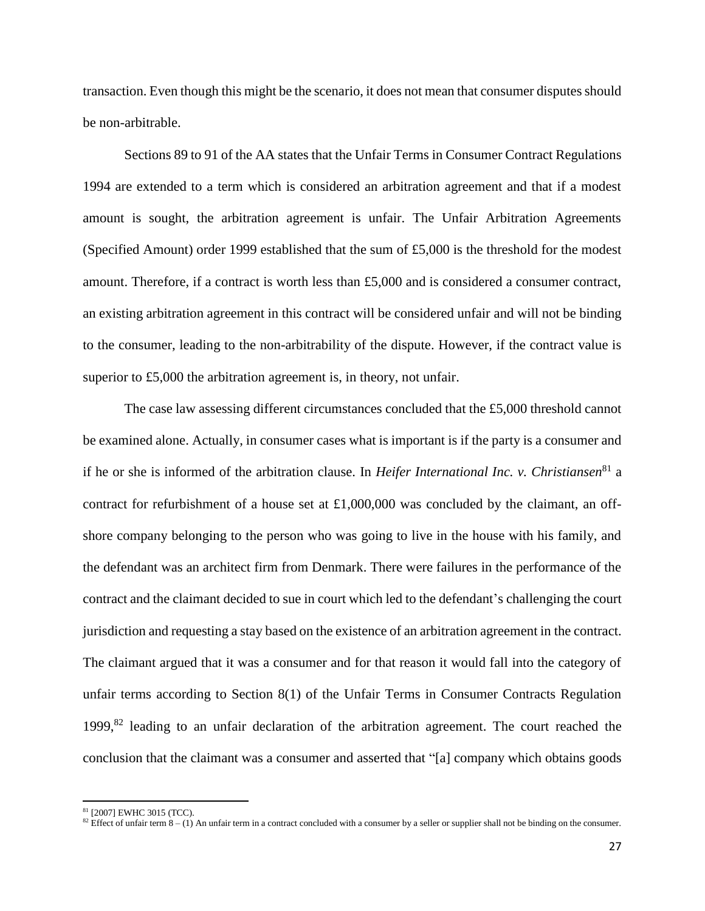transaction. Even though this might be the scenario, it does not mean that consumer disputes should be non-arbitrable.

Sections 89 to 91 of the AA states that the Unfair Terms in Consumer Contract Regulations 1994 are extended to a term which is considered an arbitration agreement and that if a modest amount is sought, the arbitration agreement is unfair. The Unfair Arbitration Agreements (Specified Amount) order 1999 established that the sum of £5,000 is the threshold for the modest amount. Therefore, if a contract is worth less than £5,000 and is considered a consumer contract, an existing arbitration agreement in this contract will be considered unfair and will not be binding to the consumer, leading to the non-arbitrability of the dispute. However, if the contract value is superior to £5,000 the arbitration agreement is, in theory, not unfair.

The case law assessing different circumstances concluded that the £5,000 threshold cannot be examined alone. Actually, in consumer cases what is important is if the party is a consumer and if he or she is informed of the arbitration clause. In *Heifer International Inc. v. Christiansen*<sup>81</sup> a contract for refurbishment of a house set at £1,000,000 was concluded by the claimant, an offshore company belonging to the person who was going to live in the house with his family, and the defendant was an architect firm from Denmark. There were failures in the performance of the contract and the claimant decided to sue in court which led to the defendant's challenging the court jurisdiction and requesting a stay based on the existence of an arbitration agreement in the contract. The claimant argued that it was a consumer and for that reason it would fall into the category of unfair terms according to Section 8(1) of the Unfair Terms in Consumer Contracts Regulation 1999,<sup>82</sup> leading to an unfair declaration of the arbitration agreement. The court reached the conclusion that the claimant was a consumer and asserted that "[a] company which obtains goods

<sup>81</sup> [2007] EWHC 3015 (TCC).

<sup>&</sup>lt;sup>82</sup> Effect of unfair term  $8 - (1)$  An unfair term in a contract concluded with a consumer by a seller or supplier shall not be binding on the consumer.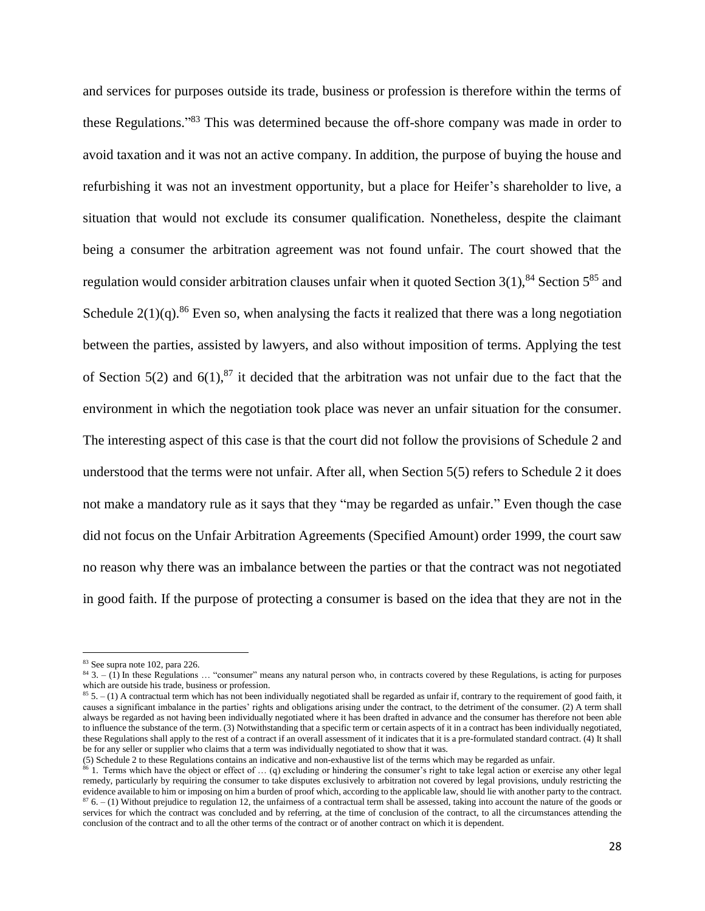and services for purposes outside its trade, business or profession is therefore within the terms of these Regulations."<sup>83</sup> This was determined because the off-shore company was made in order to avoid taxation and it was not an active company. In addition, the purpose of buying the house and refurbishing it was not an investment opportunity, but a place for Heifer's shareholder to live, a situation that would not exclude its consumer qualification. Nonetheless, despite the claimant being a consumer the arbitration agreement was not found unfair. The court showed that the regulation would consider arbitration clauses unfair when it quoted Section  $3(1)$ ,  $84$  Section  $5^{85}$  and Schedule  $2(1)(q)$ <sup>86</sup> Even so, when analysing the facts it realized that there was a long negotiation between the parties, assisted by lawyers, and also without imposition of terms. Applying the test of Section 5(2) and 6(1), $^{87}$  it decided that the arbitration was not unfair due to the fact that the environment in which the negotiation took place was never an unfair situation for the consumer. The interesting aspect of this case is that the court did not follow the provisions of Schedule 2 and understood that the terms were not unfair. After all, when Section 5(5) refers to Schedule 2 it does not make a mandatory rule as it says that they "may be regarded as unfair." Even though the case did not focus on the Unfair Arbitration Agreements (Specified Amount) order 1999, the court saw no reason why there was an imbalance between the parties or that the contract was not negotiated in good faith. If the purpose of protecting a consumer is based on the idea that they are not in the

<sup>83</sup> See supra note 102, para 226.

 $84$  3. – (1) In these Regulations ... "consumer" means any natural person who, in contracts covered by these Regulations, is acting for purposes which are outside his trade, business or profession.

 $85 - (1)$  A contractual term which has not been individually negotiated shall be regarded as unfair if, contrary to the requirement of good faith, it causes a significant imbalance in the parties' rights and obligations arising under the contract, to the detriment of the consumer. (2) A term shall always be regarded as not having been individually negotiated where it has been drafted in advance and the consumer has therefore not been able to influence the substance of the term. (3) Notwithstanding that a specific term or certain aspects of it in a contract has been individually negotiated, these Regulations shall apply to the rest of a contract if an overall assessment of it indicates that it is a pre-formulated standard contract. (4) It shall be for any seller or supplier who claims that a term was individually negotiated to show that it was.

<sup>(5)</sup> Schedule 2 to these Regulations contains an indicative and non-exhaustive list of the terms which may be regarded as unfair.

<sup>&</sup>lt;sup>86</sup> 1. Terms which have the object or effect of ... (q) excluding or hindering the consumer's right to take legal action or exercise any other legal remedy, particularly by requiring the consumer to take disputes exclusively to arbitration not covered by legal provisions, unduly restricting the evidence available to him or imposing on him a burden of proof which, according to the applicable law, should lie with another party to the contract.  $876 - (1)$  Without prejudice to regulation 12, the unfairness of a contractual term shall be assessed, taking into account the nature of the goods or services for which the contract was concluded and by referring, at the time of conclusion of the contract, to all the circumstances attending the conclusion of the contract and to all the other terms of the contract or of another contract on which it is dependent.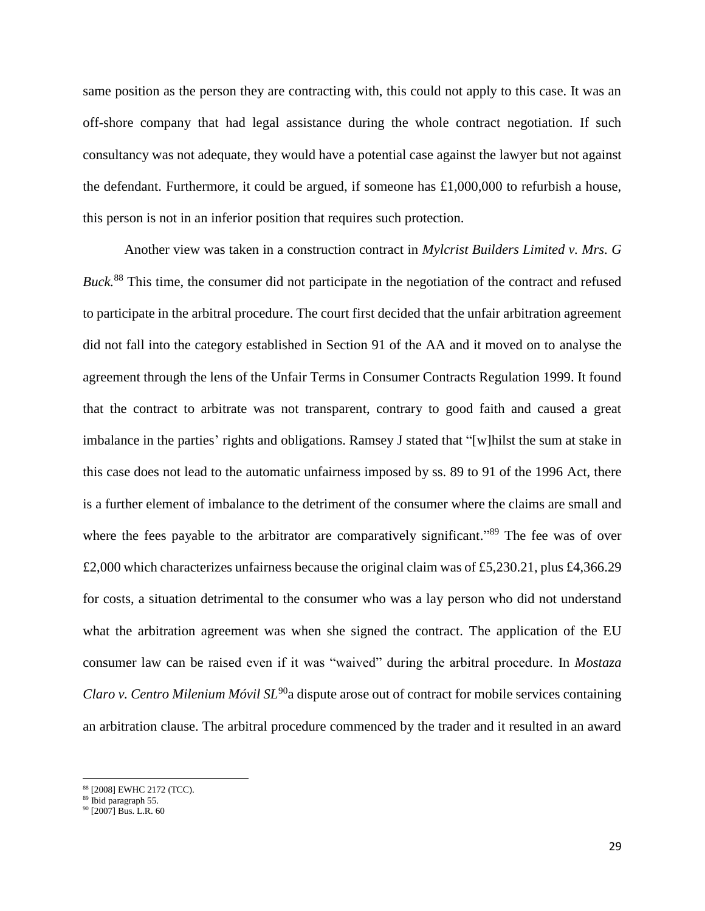same position as the person they are contracting with, this could not apply to this case. It was an off-shore company that had legal assistance during the whole contract negotiation. If such consultancy was not adequate, they would have a potential case against the lawyer but not against the defendant. Furthermore, it could be argued, if someone has £1,000,000 to refurbish a house, this person is not in an inferior position that requires such protection.

Another view was taken in a construction contract in *Mylcrist Builders Limited v. Mrs. G Buck.*<sup>88</sup> This time, the consumer did not participate in the negotiation of the contract and refused to participate in the arbitral procedure. The court first decided that the unfair arbitration agreement did not fall into the category established in Section 91 of the AA and it moved on to analyse the agreement through the lens of the Unfair Terms in Consumer Contracts Regulation 1999. It found that the contract to arbitrate was not transparent, contrary to good faith and caused a great imbalance in the parties' rights and obligations. Ramsey J stated that "[w]hilst the sum at stake in this case does not lead to the automatic unfairness imposed by ss. 89 to 91 of the 1996 Act, there is a further element of imbalance to the detriment of the consumer where the claims are small and where the fees payable to the arbitrator are comparatively significant."<sup>89</sup> The fee was of over £2,000 which characterizes unfairness because the original claim was of £5,230.21, plus £4,366.29 for costs, a situation detrimental to the consumer who was a lay person who did not understand what the arbitration agreement was when she signed the contract. The application of the EU consumer law can be raised even if it was "waived" during the arbitral procedure. In *Mostaza Claro v. Centro Milenium Móvil SL*<sup>90</sup>a dispute arose out of contract for mobile services containing an arbitration clause. The arbitral procedure commenced by the trader and it resulted in an award

<sup>88</sup> [2008] EWHC 2172 (TCC).

<sup>89</sup> Ibid paragraph 55.

<sup>90</sup> [2007] Bus. L.R. 60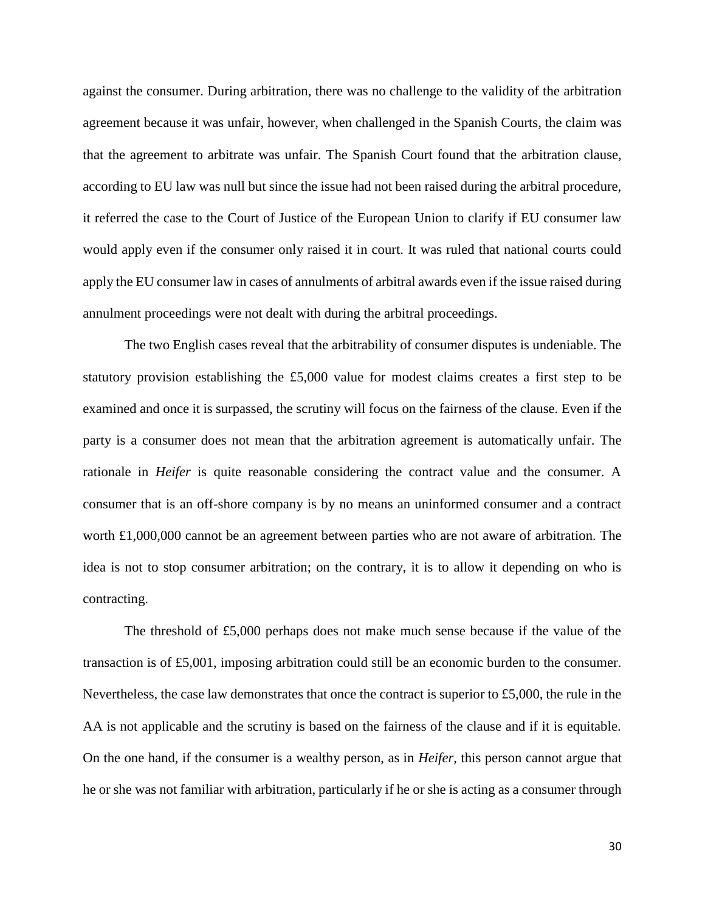against the consumer. During arbitration, there was no challenge to the validity of the arbitration agreement because it was unfair, however, when challenged in the Spanish Courts, the claim was that the agreement to arbitrate was unfair. The Spanish Court found that the arbitration clause, according to EU law was null but since the issue had not been raised during the arbitral procedure, it referred the case to the Court of Justice of the European Union to clarify if EU consumer law would apply even if the consumer only raised it in court. It was ruled that national courts could apply the EU consumer law in cases of annulments of arbitral awards even if the issue raised during annulment proceedings were not dealt with during the arbitral proceedings.

The two English cases reveal that the arbitrability of consumer disputes is undeniable. The statutory provision establishing the £5,000 value for modest claims creates a first step to be examined and once it is surpassed, the scrutiny will focus on the fairness of the clause. Even if the party is a consumer does not mean that the arbitration agreement is automatically unfair. The rationale in *Heifer* is quite reasonable considering the contract value and the consumer. A consumer that is an off-shore company is by no means an uninformed consumer and a contract worth £1,000,000 cannot be an agreement between parties who are not aware of arbitration. The idea is not to stop consumer arbitration; on the contrary, it is to allow it depending on who is contracting.

The threshold of £5,000 perhaps does not make much sense because if the value of the transaction is of £5,001, imposing arbitration could still be an economic burden to the consumer. Nevertheless, the case law demonstrates that once the contract is superior to £5,000, the rule in the AA is not applicable and the scrutiny is based on the fairness of the clause and if it is equitable. On the one hand, if the consumer is a wealthy person, as in *Heifer*, this person cannot argue that he or she was not familiar with arbitration, particularly if he or she is acting as a consumer through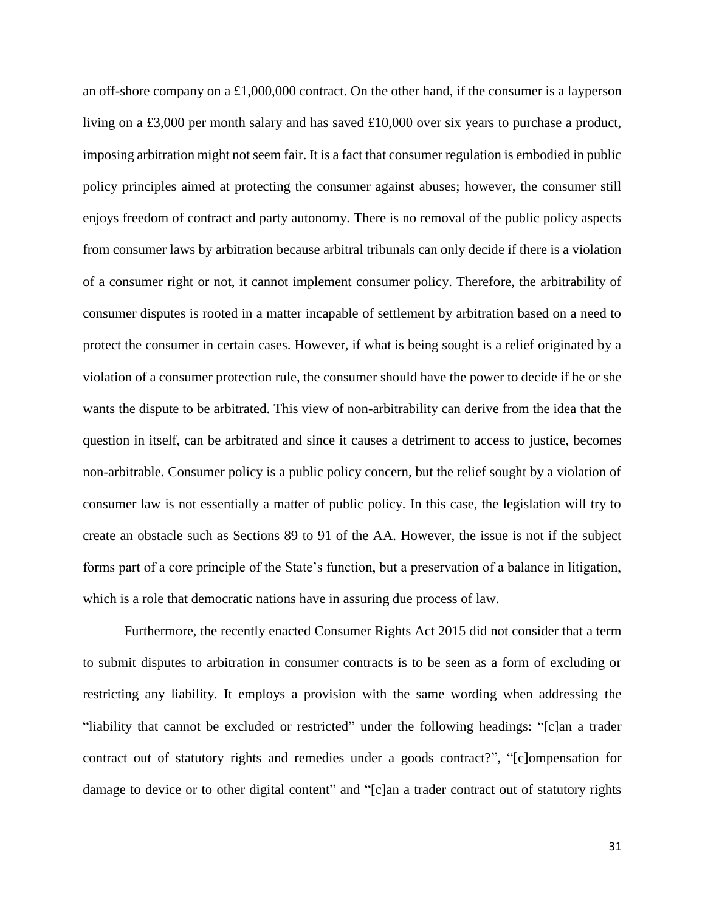an off-shore company on a £1,000,000 contract. On the other hand, if the consumer is a layperson living on a £3,000 per month salary and has saved £10,000 over six years to purchase a product, imposing arbitration might not seem fair. It is a fact that consumer regulation is embodied in public policy principles aimed at protecting the consumer against abuses; however, the consumer still enjoys freedom of contract and party autonomy. There is no removal of the public policy aspects from consumer laws by arbitration because arbitral tribunals can only decide if there is a violation of a consumer right or not, it cannot implement consumer policy. Therefore, the arbitrability of consumer disputes is rooted in a matter incapable of settlement by arbitration based on a need to protect the consumer in certain cases. However, if what is being sought is a relief originated by a violation of a consumer protection rule, the consumer should have the power to decide if he or she wants the dispute to be arbitrated. This view of non-arbitrability can derive from the idea that the question in itself, can be arbitrated and since it causes a detriment to access to justice, becomes non-arbitrable. Consumer policy is a public policy concern, but the relief sought by a violation of consumer law is not essentially a matter of public policy. In this case, the legislation will try to create an obstacle such as Sections 89 to 91 of the AA. However, the issue is not if the subject forms part of a core principle of the State's function, but a preservation of a balance in litigation, which is a role that democratic nations have in assuring due process of law.

Furthermore, the recently enacted Consumer Rights Act 2015 did not consider that a term to submit disputes to arbitration in consumer contracts is to be seen as a form of excluding or restricting any liability. It employs a provision with the same wording when addressing the "liability that cannot be excluded or restricted" under the following headings: "[c]an a trader contract out of statutory rights and remedies under a goods contract?", "[c]ompensation for damage to device or to other digital content" and "[c]an a trader contract out of statutory rights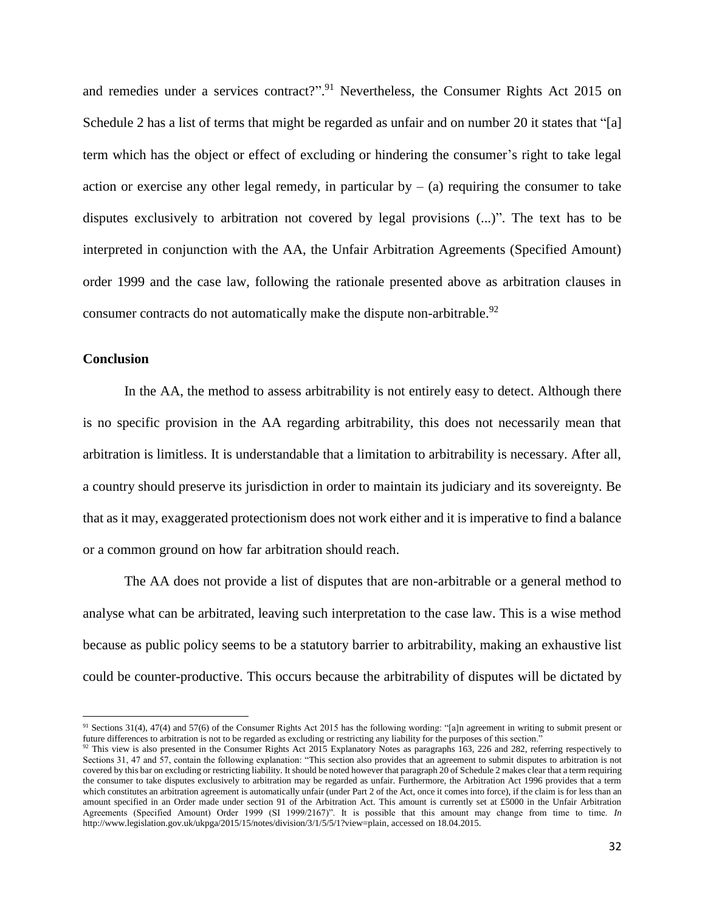and remedies under a services contract?".<sup>91</sup> Nevertheless, the Consumer Rights Act 2015 on Schedule 2 has a list of terms that might be regarded as unfair and on number 20 it states that "[a] term which has the object or effect of excluding or hindering the consumer's right to take legal action or exercise any other legal remedy, in particular by  $-$  (a) requiring the consumer to take disputes exclusively to arbitration not covered by legal provisions (...)". The text has to be interpreted in conjunction with the AA, the Unfair Arbitration Agreements (Specified Amount) order 1999 and the case law, following the rationale presented above as arbitration clauses in consumer contracts do not automatically make the dispute non-arbitrable.<sup>92</sup>

#### **Conclusion**

 $\overline{a}$ 

In the AA, the method to assess arbitrability is not entirely easy to detect. Although there is no specific provision in the AA regarding arbitrability, this does not necessarily mean that arbitration is limitless. It is understandable that a limitation to arbitrability is necessary. After all, a country should preserve its jurisdiction in order to maintain its judiciary and its sovereignty. Be that as it may, exaggerated protectionism does not work either and it is imperative to find a balance or a common ground on how far arbitration should reach.

The AA does not provide a list of disputes that are non-arbitrable or a general method to analyse what can be arbitrated, leaving such interpretation to the case law. This is a wise method because as public policy seems to be a statutory barrier to arbitrability, making an exhaustive list could be counter-productive. This occurs because the arbitrability of disputes will be dictated by

<sup>&</sup>lt;sup>91</sup> Sections 31(4), 47(4) and 57(6) of the Consumer Rights Act 2015 has the following wording: "[a]n agreement in writing to submit present or future differences to arbitration is not to be regarded as excluding or restricting any liability for the purposes of this section."

 $92$  This view is also presented in the Consumer Rights Act 2015 Explanatory Notes as paragraphs 163, 226 and 282, referring respectively to Sections 31, 47 and 57, contain the following explanation: "This section also provides that an agreement to submit disputes to arbitration is not covered by this bar on excluding or restricting liability. It should be noted however that paragraph 20 of Schedule 2 makes clear that a term requiring the consumer to take disputes exclusively to arbitration may be regarded as unfair. Furthermore, the Arbitration Act 1996 provides that a term which constitutes an arbitration agreement is automatically unfair (under Part 2 of the Act, once it comes into force), if the claim is for less than an amount specified in an Order made under section 91 of the Arbitration Act. This amount is currently set at £5000 in the Unfair Arbitration Agreements (Specified Amount) Order 1999 (SI 1999/2167)". It is possible that this amount may change from time to time. *In* [http://www.legislation.gov.uk/ukpga/2015/15/notes/division/3/1/5/5/1?view=plain,](http://www.legislation.gov.uk/ukpga/2015/15/notes/division/3/1/5/5/1?view=plain) accessed on 18.04.2015.